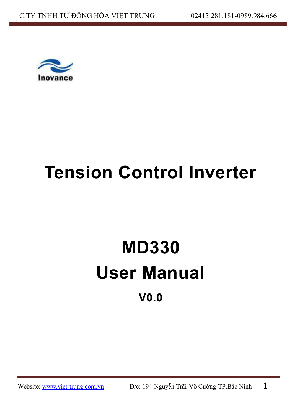

# **Tension Control Inverter**

# **MD330 User Manual V0.0**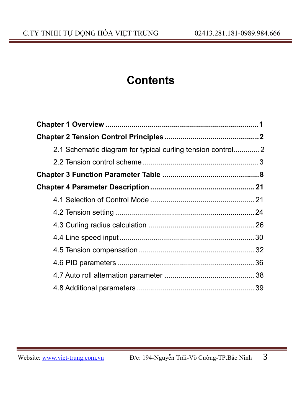# **Contents**

| 2.1 Schematic diagram for typical curling tension control |  |
|-----------------------------------------------------------|--|
|                                                           |  |
|                                                           |  |
|                                                           |  |
|                                                           |  |
|                                                           |  |
|                                                           |  |
|                                                           |  |
|                                                           |  |
|                                                           |  |
|                                                           |  |
|                                                           |  |
|                                                           |  |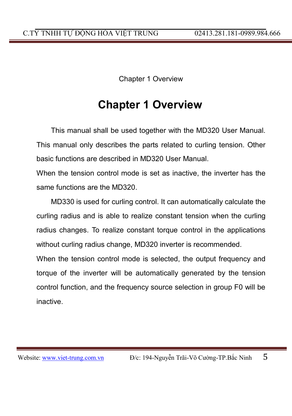Chapter 1 Overview

## **Chapter 1 Overview**

This manual shall be used together with the MD320 User Manual. This manual only describes the parts related to curling tension. Other basic functions are described in MD320 User Manual.

When the tension control mode is set as inactive, the inverter has the same functions are the MD320.

MD330 is used for curling control. It can automatically calculate the curling radius and is able to realize constant tension when the curling radius changes. To realize constant torque control in the applications without curling radius change, MD320 inverter is recommended.

When the tension control mode is selected, the output frequency and torque of the inverter will be automatically generated by the tension control function, and the frequency source selection in group F0 will be inactive.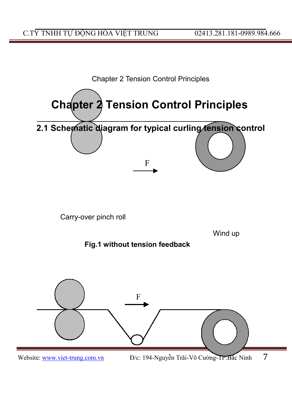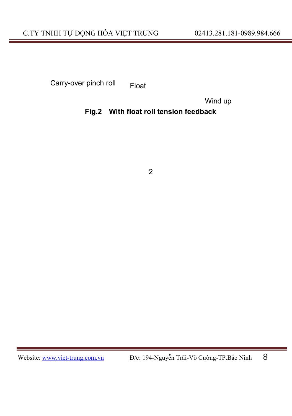Carry-over pinch roll Float

Wind up

### **Fig.2 With float roll tension feedback**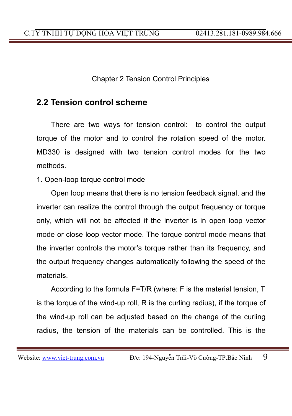Chapter 2 Tension Control Principles

## **2.2 Tension control scheme**

There are two ways for tension control: to control the output torque of the motor and to control the rotation speed of the motor. MD330 is designed with two tension control modes for the two methods.

1. Open-loop torque control mode

Open loop means that there is no tension feedback signal, and the inverter can realize the control through the output frequency or torque only, which will not be affected if the inverter is in open loop vector mode or close loop vector mode. The torque control mode means that the inverter controls the motor's torque rather than its frequency, and the output frequency changes automatically following the speed of the materials.

According to the formula F=T/R (where: F is the material tension, T is the torque of the wind-up roll, R is the curling radius), if the torque of the wind-up roll can be adjusted based on the change of the curling radius, the tension of the materials can be controlled. This is the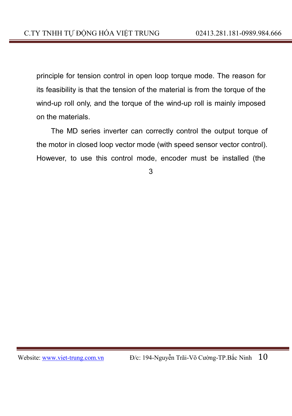principle for tension control in open loop torque mode. The reason for its feasibility is that the tension of the material is from the torque of the wind-up roll only, and the torque of the wind-up roll is mainly imposed on the materials.

The MD series inverter can correctly control the output torque of the motor in closed loop vector mode (with speed sensor vector control). However, to use this control mode, encoder must be installed (the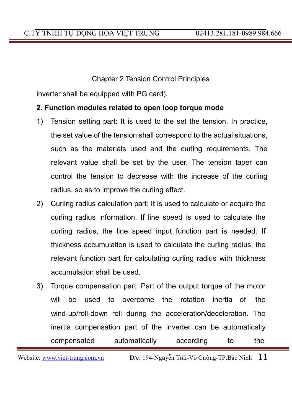#### Chapter 2 Tension Control Principles

inverter shall be equipped with PG card).

#### **2. Function modules related to open loop torque mode**

- 1) Tension setting part: It is used to the set the tension. In practice, the set value of the tension shall correspond to the actual situations, such as the materials used and the curling requirements. The relevant value shall be set by the user. The tension taper can control the tension to decrease with the increase of the curling radius, so as to improve the curling effect.
- 2) Curling radius calculation part: It is used to calculate or acquire the curling radius information. If line speed is used to calculate the curling radius, the line speed input function part is needed. If thickness accumulation is used to calculate the curling radius, the relevant function part for calculating curling radius with thickness accumulation shall be used.
- 3) Torque compensation part: Part of the output torque of the motor will be used to overcome the rotation inertia of the wind-up/roll-down roll during the acceleration/deceleration. The inertia compensation part of the inverter can be automatically compensated automatically according to the

Website: www.viet-trung.com.vn  $D/c$ : 194-Nguyễn Trãi-Võ Cường-TP.Bắc Ninh  $11$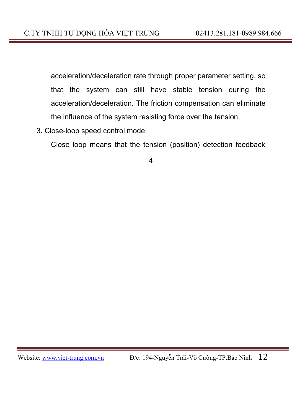acceleration/deceleration rate through proper parameter setting, so that the system can still have stable tension during the acceleration/deceleration. The friction compensation can eliminate the influence of the system resisting force over the tension.

3. Close-loop speed control mode

Close loop means that the tension (position) detection feedback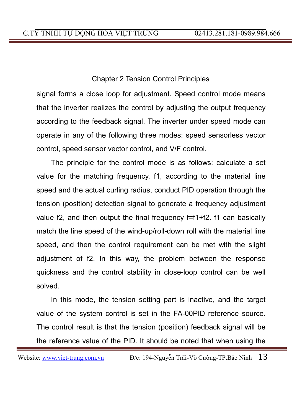### Chapter 2 Tension Control Principles

signal forms a close loop for adjustment. Speed control mode means that the inverter realizes the control by adjusting the output frequency according to the feedback signal. The inverter under speed mode can operate in any of the following three modes: speed sensorless vector control, speed sensor vector control, and V/F control.

The principle for the control mode is as follows: calculate a set value for the matching frequency, f1, according to the material line speed and the actual curling radius, conduct PID operation through the tension (position) detection signal to generate a frequency adjustment value f2, and then output the final frequency f=f1+f2. f1 can basically match the line speed of the wind-up/roll-down roll with the material line speed, and then the control requirement can be met with the slight adjustment of f2. In this way, the problem between the response quickness and the control stability in close-loop control can be well solved.

In this mode, the tension setting part is inactive, and the target value of the system control is set in the FA-00PID reference source. The control result is that the tension (position) feedback signal will be the reference value of the PID. It should be noted that when using the

Website: www.viet-trung.com.vn  $D/c$ : 194-Nguyễn Trãi-Võ Cường-TP.Bắc Ninh  $13$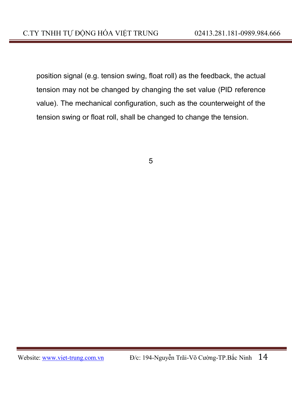position signal (e.g. tension swing, float roll) as the feedback, the actual tension may not be changed by changing the set value (PID reference value). The mechanical configuration, such as the counterweight of the tension swing or float roll, shall be changed to change the tension.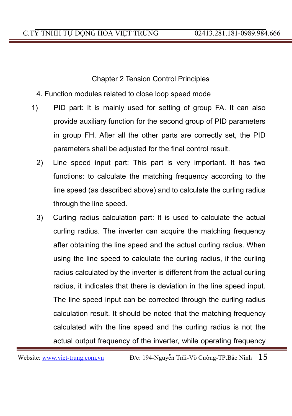Chapter 2 Tension Control Principles

- 4. Function modules related to close loop speed mode
- 1) PID part: It is mainly used for setting of group FA. It can also provide auxiliary function for the second group of PID parameters in group FH. After all the other parts are correctly set, the PID parameters shall be adjusted for the final control result.
	- 2) Line speed input part: This part is very important. It has two functions: to calculate the matching frequency according to the line speed (as described above) and to calculate the curling radius through the line speed.
	- 3) Curling radius calculation part: It is used to calculate the actual curling radius. The inverter can acquire the matching frequency after obtaining the line speed and the actual curling radius. When using the line speed to calculate the curling radius, if the curling radius calculated by the inverter is different from the actual curling radius, it indicates that there is deviation in the line speed input. The line speed input can be corrected through the curling radius calculation result. It should be noted that the matching frequency calculated with the line speed and the curling radius is not the actual output frequency of the inverter, while operating frequency

Website: www.viet-trung.com.vn Đ/c: 194-Nguyễn Trãi-Võ Cường-TP.Bắc Ninh 15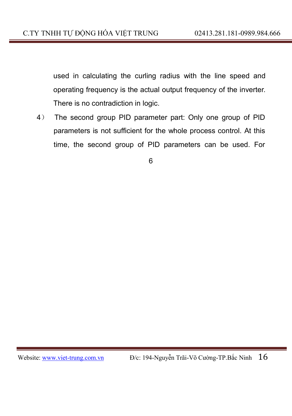used in calculating the curling radius with the line speed and operating frequency is the actual output frequency of the inverter. There is no contradiction in logic.

4) The second group PID parameter part: Only one group of PID parameters is not sufficient for the whole process control. At this time, the second group of PID parameters can be used. For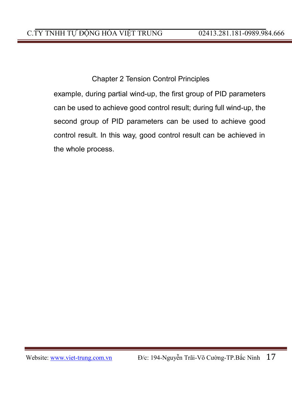Chapter 2 Tension Control Principles

example, during partial wind-up, the first group of PID parameters can be used to achieve good control result; during full wind-up, the second group of PID parameters can be used to achieve good control result. In this way, good control result can be achieved in the whole process.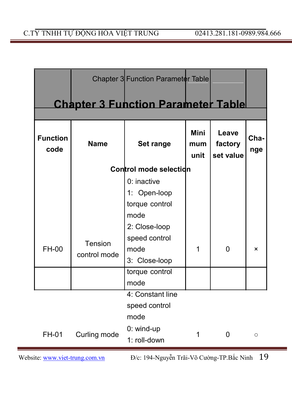|                         |              | Chapter 3 Function Parameter Table        |                     |                               |             |
|-------------------------|--------------|-------------------------------------------|---------------------|-------------------------------|-------------|
|                         |              | <b>Chapter 3 Function Parameter Table</b> |                     |                               |             |
| <b>Function</b><br>code | <b>Name</b>  | Set range                                 | Mini<br>mum<br>unit | Leave<br>factory<br>set value | Cha-<br>nge |
|                         |              | Control mode selection                    |                     |                               |             |
|                         |              | $0:$ inactive                             |                     |                               |             |
|                         |              | 1: Open-loop                              |                     |                               |             |
|                         |              | torque control                            |                     |                               |             |
|                         |              | mode                                      |                     |                               |             |
|                         |              | 2: Close-loop                             |                     |                               |             |
|                         | Tension      | speed control                             |                     |                               |             |
| FH-00                   | control mode | mode                                      | 1                   | 0                             | ×           |
|                         |              | 3: Close-loop                             |                     |                               |             |
|                         |              | torque control                            |                     |                               |             |
|                         |              | mode                                      |                     |                               |             |
|                         |              | 4: Constant line                          |                     |                               |             |
|                         |              | speed control                             |                     |                               |             |
|                         |              | mode                                      |                     |                               |             |
| FH-01                   | Curling mode | $0:$ wind-up                              | 1                   | 0                             | O           |
|                         |              | 1: roll-down                              |                     |                               |             |

Website: www.viet-trung.com.vn D/c: 194-Nguyễn Trãi-Võ Cường-TP.Bắc Ninh 19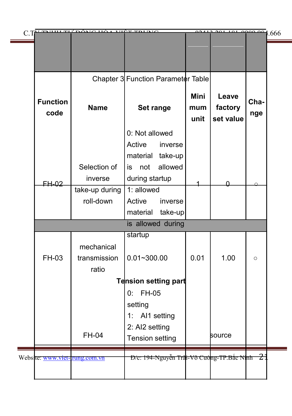| C.T |                                | ضىدعته                      | VIÊT TOI BIC                                 | 0.112               | 201<br>101                    | $\frac{1}{40000000}$ 1.666 |  |
|-----|--------------------------------|-----------------------------|----------------------------------------------|---------------------|-------------------------------|----------------------------|--|
|     |                                |                             |                                              |                     |                               |                            |  |
|     |                                |                             |                                              |                     |                               |                            |  |
|     |                                |                             | Chapter 3 Function Parameter Table           |                     |                               |                            |  |
|     | <b>Function</b><br>code        | <b>Name</b>                 | Set range                                    | Mini<br>mum<br>unit | Leave<br>factory<br>set value | Cha-<br>nge                |  |
|     |                                |                             | 0: Not allowed                               |                     |                               |                            |  |
|     |                                |                             | Active<br>inverse                            |                     |                               |                            |  |
|     |                                |                             | material<br>take-up                          |                     |                               |                            |  |
|     |                                | Selection of                | allowed<br>not<br>is.                        |                     |                               |                            |  |
|     | FH-02                          | inverse                     | during startup<br>1: allowed                 |                     |                               |                            |  |
|     |                                | take-up during<br>roll-down | Active<br>inverse                            |                     |                               |                            |  |
|     |                                |                             | take-up<br>material                          |                     |                               |                            |  |
|     |                                |                             | is allowed during                            |                     |                               |                            |  |
|     |                                |                             | startup                                      |                     |                               |                            |  |
|     |                                | mechanical                  |                                              |                     |                               |                            |  |
|     | FH-03                          | transmission                | $0.01 - 300.00$                              | 0.01                | 1.00                          | $\circ$                    |  |
|     |                                | ratio                       |                                              |                     |                               |                            |  |
|     |                                |                             | Tension setting part                         |                     |                               |                            |  |
|     |                                |                             | FH-05<br>0:                                  |                     |                               |                            |  |
|     |                                |                             | setting                                      |                     |                               |                            |  |
|     |                                |                             | 1: Al1 setting                               |                     |                               |                            |  |
|     |                                | FH-04                       | 2: AI2 setting<br><b>Tension setting</b>     |                     | source                        |                            |  |
|     |                                |                             |                                              |                     |                               |                            |  |
|     | Website: www.viet-trung.com.vn |                             | Đ/c: 194-Nguyễn Trai-Võ Cuòng-TP.Bắc Ninh 21 |                     |                               |                            |  |
|     |                                |                             |                                              |                     |                               |                            |  |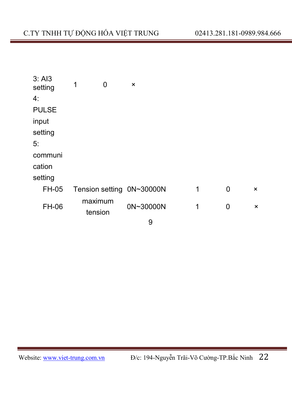| 3: A13<br>setting | 1<br>0             | ×                         |   |   |          |
|-------------------|--------------------|---------------------------|---|---|----------|
| 4:                |                    |                           |   |   |          |
| <b>PULSE</b>      |                    |                           |   |   |          |
| input             |                    |                           |   |   |          |
| setting           |                    |                           |   |   |          |
| 5:                |                    |                           |   |   |          |
| communi           |                    |                           |   |   |          |
| cation            |                    |                           |   |   |          |
| setting           |                    |                           |   |   |          |
| FH-05             |                    | Tension setting 0N~30000N | 1 | 0 | $\times$ |
| FH-06             | maximum<br>tension | 0N~30000N                 | 1 | 0 | ×        |
|                   |                    |                           |   |   |          |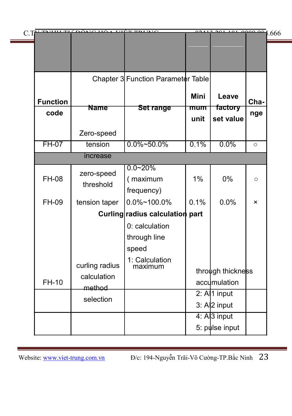|                 | C.TV TNUH Tự DÂMO HÓA VIỆT THING        |                                       |             | 0.412.291.101.000.004             |         |
|-----------------|-----------------------------------------|---------------------------------------|-------------|-----------------------------------|---------|
|                 |                                         |                                       |             |                                   |         |
|                 |                                         |                                       |             |                                   |         |
|                 |                                         | Chapter 3 Function Parameter Table    |             |                                   |         |
| <b>Function</b> | Name                                    |                                       | Mini        | Leave                             | Cha-    |
| code            |                                         | <b>Set range</b>                      | mum<br>unit | factory<br>set value              | nge     |
|                 | Zero-speed                              |                                       |             |                                   |         |
| $FH-07$         | tension                                 | $0.0\% - 50.0\%$                      | 0.1%        | 0.0%                              | $\circ$ |
|                 | increase                                |                                       |             |                                   |         |
| FH-08           | zero-speed<br>threshold                 | $0.0 - 20%$<br>(maximum<br>frequency) | 1%          | 0%                                | $\circ$ |
| FH-09           | tension taper                           | 0.0%~100.0%                           | 0.1%        | 0.0%                              | ×       |
|                 |                                         | Curling radius calculation part       |             |                                   |         |
|                 |                                         | 0: calculation                        |             |                                   |         |
|                 |                                         | through line                          |             |                                   |         |
|                 |                                         | speed                                 |             |                                   |         |
| FH-10           | curling radius<br>calculation<br>method | 1: Calculation<br>maximum             |             | through thickness<br>accumulation |         |
|                 | selection                               |                                       |             | $2:$ A $ 1$ input                 |         |
|                 |                                         |                                       |             | $3:$ A $ 2$ input                 |         |
|                 |                                         |                                       |             | 4: Al <sub>3</sub> input          |         |
|                 |                                         |                                       |             | 5: pulse input                    |         |

Website: www.viet-trung.com.vn D/c: 194-Nguyễn Trãi-Võ Cường-TP.Bắc Ninh 23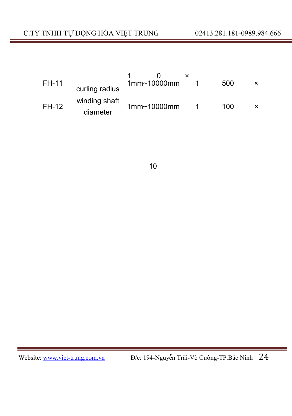| FH-11 | curling radius            | 1mm <sub>10000mm</sub> | 500 |  |
|-------|---------------------------|------------------------|-----|--|
| FH-12 | winding shaft<br>diameter | 1mm <sub>10000mm</sub> | 100 |  |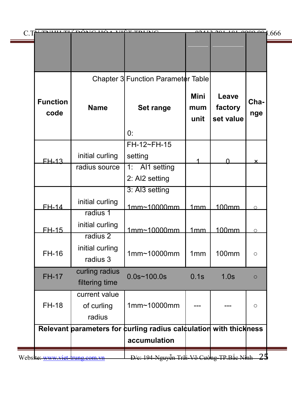| <b>Function</b><br>code | <b>Name</b>                            | Chapter 3 Function Parameter Table<br>Set range<br>0:                             | Mini<br>mum<br>unit | Leave<br>factory<br>set value | Cha-<br>nge               |
|-------------------------|----------------------------------------|-----------------------------------------------------------------------------------|---------------------|-------------------------------|---------------------------|
| <b>FH-13</b>            | initial curling                        | FH-12~FH-15<br>setting                                                            |                     | U                             | $\boldsymbol{\mathsf{x}}$ |
|                         | radius source                          | 1: Al1 setting<br>2: AI2 setting                                                  |                     |                               |                           |
| <b>FH-14</b>            | initial curling<br>radius 1            | 3: AI3 setting<br>1mm~10000mm                                                     | 1mm                 | 100mm                         | $\circ$                   |
| <b>FH-15</b>            | initial curling<br>radius <sub>2</sub> | 1mm~10000mm                                                                       | 1mm                 | 100mm                         | $\circ$                   |
| FH-16                   | initial curling<br>radius 3            | 1mm~10000mm                                                                       | 1mm                 | 100mm                         | $\circ$                   |
| <b>FH-17</b>            | curling radius<br>filtering time       | $0.0s - 100.0s$                                                                   | 0.1s                | 1.0s                          | $\Omega$                  |
| <b>FH-18</b>            | current value<br>of curling<br>radius  | 1mm~10000mm                                                                       |                     |                               | $\circ$                   |
|                         |                                        | Relevant parameters for curling radius calculation with thickness<br>accumulation |                     |                               |                           |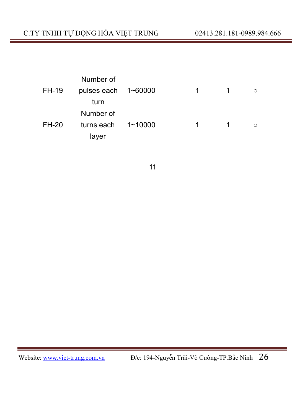|       | Number of                  |         |    |          |
|-------|----------------------------|---------|----|----------|
| FH-19 | pulses each $1 \sim 60000$ |         | 1  | $\Omega$ |
|       | turn                       |         |    |          |
|       | Number of                  |         |    |          |
| FH-20 | turns each                 | 1~10000 | 1. | $\circ$  |
|       | layer                      |         |    |          |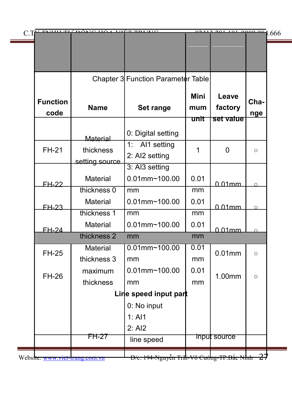|                         |                                | Chapter 3 Function Parameter Table          |                            |                               |             |
|-------------------------|--------------------------------|---------------------------------------------|----------------------------|-------------------------------|-------------|
| <b>Function</b><br>code | <b>Name</b>                    | Set range                                   | <b>Mini</b><br>mum<br>unit | Leave<br>factory<br>set value | Cha-<br>nge |
|                         | Material                       | 0: Digital setting                          |                            |                               |             |
| <b>FH-21</b>            | thickness<br>setting source    | 1:<br>Al1 setting<br>2: AI2 setting         | 1                          | 0                             | $\circ$     |
|                         | Material                       | 3: Al3 setting<br>$0.01$ mm~100.00          | 0.01                       |                               |             |
| <b>FH-22</b>            | thickness 0                    | mm                                          | mm                         | $0.01$ mm                     | $\Omega$    |
| <b>FH-23</b>            | Material                       | $0.01$ mm~100.00                            | 0.01                       | 0.01mm                        | $\circ$     |
|                         | thickness 1                    | mm                                          | mm                         |                               |             |
| <b>FH-24</b>            | Material                       | $0.01$ mm~100.00                            | 0.01                       | 0.01mm                        | $\Omega$    |
|                         | thickness 2                    | mm                                          | mm                         |                               |             |
| FH-25                   | Material<br>thickness 3        | $0.01$ mm~100.00<br>mm                      | 0.01<br>mm                 | $0.01$ mm                     | $\circ$     |
| FH-26                   | maximum<br>thickness           | $0.01$ mm~100.00<br>mm                      | 0.01<br>mm                 | 1.00mm                        | $\circ$     |
|                         |                                | Line speed input part                       |                            |                               |             |
|                         |                                | 0: No input                                 |                            |                               |             |
|                         |                                | 1: A11<br>2: AI2                            |                            |                               |             |
|                         | <b>FH-27</b>                   | line speed                                  |                            | input source                  |             |
|                         | Website: www.viet-trung.com.vn | D/c: 194-Nguyễn Trấi-Võ Cường-TP.Bắc Nhh 27 |                            |                               |             |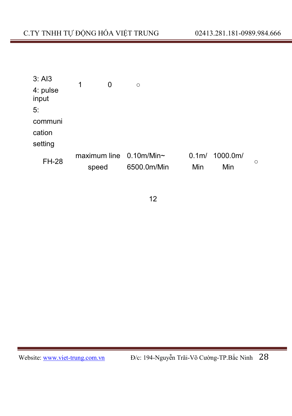| $3:$ Al $3$       | 1<br>0                     |             |                  |          |         |
|-------------------|----------------------------|-------------|------------------|----------|---------|
| 4: pulse<br>input |                            | $\circ$     |                  |          |         |
| 5:                |                            |             |                  |          |         |
| communi           |                            |             |                  |          |         |
| cation            |                            |             |                  |          |         |
| setting           |                            |             |                  |          |         |
| <b>FH-28</b>      | maximum line $0.10$ m/Min~ |             | 0.1 <sub>m</sub> | 1000.0m/ | $\circ$ |
|                   | speed                      | 6500.0m/Min | Min              | Min      |         |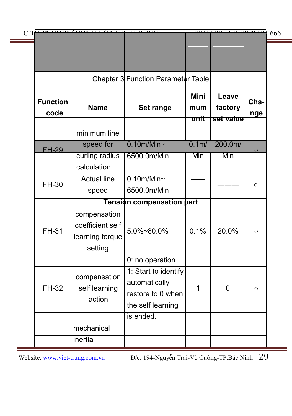|                         | C. THE THILL TH' DÂMO HẢ A THỆT THING                          |                                                                                 | 00112               | $201101000000$ 1.666          |             |
|-------------------------|----------------------------------------------------------------|---------------------------------------------------------------------------------|---------------------|-------------------------------|-------------|
|                         |                                                                |                                                                                 |                     |                               |             |
|                         |                                                                |                                                                                 |                     |                               |             |
|                         |                                                                | Chapter 3 Function Parameter Table                                              |                     |                               |             |
| <b>Function</b><br>code | <b>Name</b>                                                    | Set range                                                                       | Mini<br>mum<br>unit | Leave<br>factory<br>set value | Cha-<br>nge |
|                         | minimum line                                                   |                                                                                 |                     |                               |             |
| <b>FH-29</b>            | speed for                                                      | $0.10m/Min$ ~                                                                   | 0.1 <sub>m</sub>    | 200.0m/                       | $\Omega$    |
|                         | curling radius                                                 | 6500.0m/Min                                                                     | Min                 | Min                           |             |
|                         | calculation                                                    |                                                                                 |                     |                               |             |
| FH-30                   | <b>Actual line</b>                                             | $0.10$ m/Min~                                                                   |                     |                               | $\circ$     |
|                         | speed                                                          | 6500.0m/Min                                                                     |                     |                               |             |
|                         |                                                                | Tension compensation part                                                       |                     |                               |             |
| FH-31                   | compensation<br>coefficient self<br>learning torque<br>setting | $5.0\%$ ~80.0%                                                                  | 0.1%                | 20.0%                         | $\circ$     |
|                         |                                                                | 0: no operation                                                                 |                     |                               |             |
| FH-32                   | compensation<br>self learning<br>action                        | 1: Start to identify<br>automatically<br>restore to 0 when<br>the self learning | 1                   | 0                             | $\circ$     |
|                         |                                                                | is ended.                                                                       |                     |                               |             |
|                         | mechanical                                                     |                                                                                 |                     |                               |             |
|                         | inertia                                                        |                                                                                 |                     |                               |             |

Website: www.viet-trung.com.vn Đ/c: 194-Nguyễn Trãi-Võ Cường-TP.Bắc Ninh 29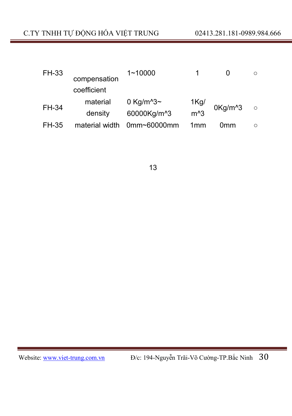| FH-33        |                | $1 - 10000$                       |                 |                     |         |
|--------------|----------------|-----------------------------------|-----------------|---------------------|---------|
|              | compensation   |                                   |                 |                     |         |
|              | coefficient    |                                   |                 |                     |         |
| FH-34        | material       | 0 Kg/m <sup><math>3</math>~</sup> |                 | 0Kg/m <sup>^3</sup> | $\circ$ |
|              | density        | 60000Kg/m <sup>^</sup> 3          | 1Kg/<br>m^3     |                     |         |
| <b>FH-35</b> | material width | $0$ mm~60000mm                    | 1 <sub>mm</sub> | 0mm                 |         |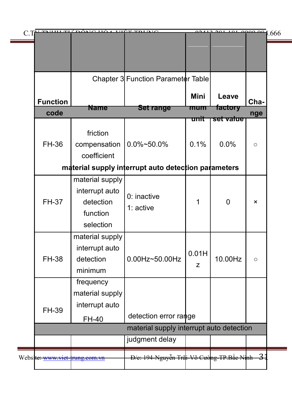|                                          | C THE THILL TH' DÔMC HỘA VIỆT THING                       |                                                     |             | 00412.001.101.0000.001.666 |                           |  |
|------------------------------------------|-----------------------------------------------------------|-----------------------------------------------------|-------------|----------------------------|---------------------------|--|
|                                          |                                                           |                                                     |             |                            |                           |  |
|                                          |                                                           |                                                     |             |                            |                           |  |
|                                          |                                                           | Chapter 3 Function Parameter Table                  |             |                            |                           |  |
| <b>Function</b>                          |                                                           |                                                     | <b>Mini</b> | Leave                      | Cha-                      |  |
| code                                     | <b>Name</b>                                               | <b>Set range</b>                                    | mum         | factory                    | nge                       |  |
|                                          |                                                           |                                                     | unit        | set value                  |                           |  |
| FH-36                                    | friction<br>compensation<br>coefficient                   | $0.0\%$ ~50.0%                                      | 0.1%        | 0.0%                       | $\circ$                   |  |
|                                          |                                                           | material supply interrupt auto detection parameters |             |                            |                           |  |
|                                          | material supply                                           |                                                     |             |                            |                           |  |
| <b>FH-37</b>                             | interrupt auto<br>detection<br>function                   | $0:$ inactive<br>1: active                          | 1           | $\mathbf 0$                | $\boldsymbol{\mathsf{x}}$ |  |
|                                          | selection                                                 |                                                     |             |                            |                           |  |
| FH-38                                    | material supply<br>interrupt auto<br>detection<br>minimum | 0.00Hz~50.00Hz                                      | 0.01H<br>z  | 10.00Hz                    | $\circ$                   |  |
|                                          | frequency                                                 |                                                     |             |                            |                           |  |
| FH-39                                    | material supply<br>interrupt auto                         |                                                     |             |                            |                           |  |
|                                          | FH-40                                                     | detection error range                               |             |                            |                           |  |
| material supply interrupt auto detection |                                                           |                                                     |             |                            |                           |  |
|                                          |                                                           | judgment delay                                      |             |                            |                           |  |
| Website: www.viet-trung.com.vn           |                                                           | Đ/c: 194-Nguyễn Trâi-Võ Cường-TP.Bắc Ninh 31        |             |                            |                           |  |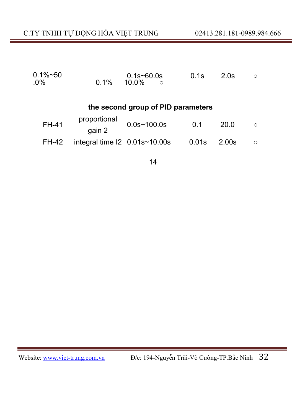| $0.1\%$ ~50<br>$.0\%$              | $0.1\%$                                       | $0.1s - 60.0s$<br>$10.0\%$<br>$\circ$ | 0.1s  | 2.0s  | $\circ$    |  |  |  |
|------------------------------------|-----------------------------------------------|---------------------------------------|-------|-------|------------|--|--|--|
| the second group of PID parameters |                                               |                                       |       |       |            |  |  |  |
| FH-41                              | proportional<br>gain 2                        | $0.0s$ ~100.0s                        | 0.1   | 20.0  | $\bigcirc$ |  |  |  |
| <b>FH-42</b>                       | integral time $12 \quad 0.01$ s $\sim$ 10.00s |                                       | 0.01s | 2.00s | $\circ$    |  |  |  |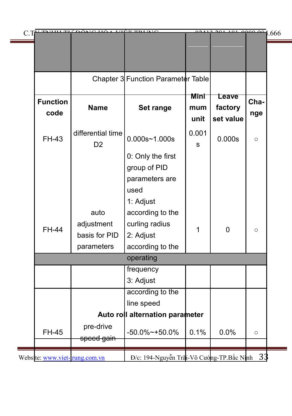|  |                               | C.TV TAHHLTH DÂMO HỘA VIỆT TRI DIC  |                                           | 02412       | $\frac{201 + 01}{200}$ 000 00 1.666 |         |  |
|--|-------------------------------|-------------------------------------|-------------------------------------------|-------------|-------------------------------------|---------|--|
|  |                               |                                     |                                           |             |                                     |         |  |
|  |                               |                                     |                                           |             |                                     |         |  |
|  |                               |                                     | Chapter 3 Function Parameter Table        |             |                                     |         |  |
|  | <b>Function</b><br>code       | <b>Name</b>                         | Set range                                 | Mini<br>mum | <b>Leave</b><br>factory             | Cha-    |  |
|  |                               |                                     |                                           | unit        | set value                           | nge     |  |
|  | <b>FH-43</b>                  | differential time<br>D <sub>2</sub> | $0.000s - 1.000s$                         | 0.001<br>S  | 0.000s                              | $\circ$ |  |
|  |                               |                                     | 0: Only the first                         |             |                                     |         |  |
|  |                               |                                     | group of PID                              |             |                                     |         |  |
|  |                               |                                     | parameters are                            |             |                                     |         |  |
|  |                               |                                     | used                                      |             |                                     |         |  |
|  |                               |                                     | 1: Adjust                                 |             |                                     |         |  |
|  |                               | auto                                | according to the                          |             |                                     |         |  |
|  | <b>FH-44</b>                  | adjustment                          | curling radius                            | 1           | $\mathbf{0}$                        | $\circ$ |  |
|  |                               | basis for PID                       | 2: Adjust                                 |             |                                     |         |  |
|  |                               | parameters                          | according to the                          |             |                                     |         |  |
|  | operating                     |                                     |                                           |             |                                     |         |  |
|  |                               |                                     | frequency                                 |             |                                     |         |  |
|  |                               |                                     | 3: Adjust                                 |             |                                     |         |  |
|  |                               |                                     | according to the                          |             |                                     |         |  |
|  |                               |                                     | line speed                                |             |                                     |         |  |
|  |                               |                                     | Auto roll alternation parameter           |             |                                     |         |  |
|  | <b>FH-45</b>                  | pre-drive<br>speed gain             | $-50.0\%$ ~ +50.0%                        | 0.1%        | 0.0%                                | $\circ$ |  |
|  |                               |                                     |                                           |             |                                     |         |  |
|  | Website: www.viet-rung.com.vn |                                     | Đ/c: 194-Nguyễn Trãi-Võ Cường-TP.Bắc Ninh |             |                                     | 33      |  |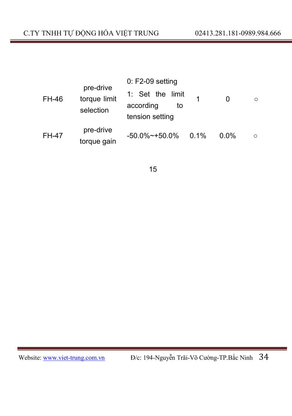| <b>FH-46</b> | pre-drive<br>torque limit<br>selection | $0: F2-09$ setting<br>1: Set the limit<br>1<br>according<br>to<br>tension setting | O<br>∩  |
|--------------|----------------------------------------|-----------------------------------------------------------------------------------|---------|
| <b>FH-47</b> | pre-drive                              | $-50.0\%$ ~ +50.0%                                                                | $0.0\%$ |
|              | torque gain                            | $0.1\%$                                                                           | $\circ$ |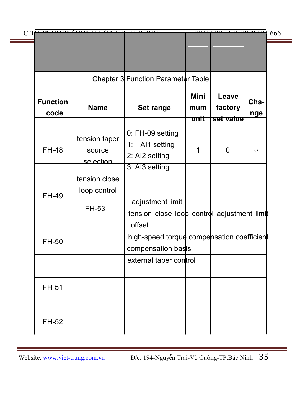|                         | C. TV TAHHI TH'DÔMC HỘA VIỆT TRING     |                                                                                                                                                     | 00112       | $\frac{20110100000}{10000000}1.666$ |             |
|-------------------------|----------------------------------------|-----------------------------------------------------------------------------------------------------------------------------------------------------|-------------|-------------------------------------|-------------|
|                         |                                        |                                                                                                                                                     |             |                                     |             |
|                         |                                        | Chapter 3 Function Parameter Table                                                                                                                  |             |                                     |             |
| <b>Function</b><br>code | <b>Name</b>                            | Set range                                                                                                                                           | Mini<br>mum | Leave<br>factory                    | Cha-<br>nge |
| <b>FH-48</b>            | tension taper<br>source<br>selection   | 0: FH-09 setting<br>1: Al1 setting<br>2: AI2 setting                                                                                                | unit<br>1   | set value<br>0                      | $\circ$     |
| FH-49                   | tension close<br>loop control<br>FH-53 | 3: Al3 setting<br>adjustment limit                                                                                                                  |             |                                     |             |
| FH-50                   |                                        | tension close loop control adjustment limit<br>offset<br>high-speed torque compensation coefficient<br>compensation basis<br>external taper control |             |                                     |             |
| FH-51                   |                                        |                                                                                                                                                     |             |                                     |             |
| FH-52                   |                                        |                                                                                                                                                     |             |                                     |             |

Website: www.viet-trung.com.vn Đ/c: 194-Nguyễn Trãi-Võ Cường-TP.Bắc Ninh 35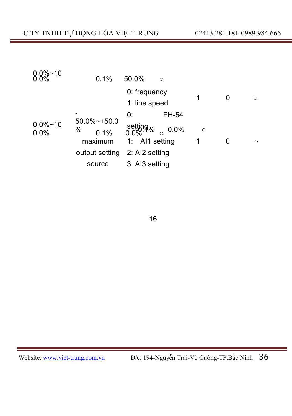| $0.0\%$ ~10         | 0.1%                     | 50.0%<br>$\circ$                     |         |   |          |
|---------------------|--------------------------|--------------------------------------|---------|---|----------|
|                     |                          | 0: frequency<br>1: line speed        | 1       | 0 | $\Omega$ |
|                     |                          | FH-54<br>0:                          |         |   |          |
| $0.0\%$ ~10<br>0.0% | 50.0%~+50.0<br>%<br>0.1% | setting <sub>%</sub><br>0.0%<br>0.0% | $\circ$ |   |          |
|                     | maximum                  | 1: Al1 setting                       | 1       | 0 | ◠        |
|                     | output setting           | 2: AI2 setting                       |         |   |          |
|                     | source                   | 3: AI3 setting                       |         |   |          |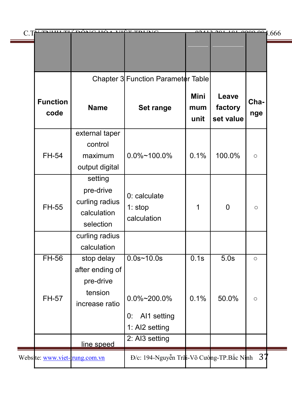| uur Tr<br>C.T                 | ông hó i                                                           | <b>VIÊT TRIBIC</b>                                    | 00112                      | 201101                        | $\frac{1000000}{1.666}$ |  |
|-------------------------------|--------------------------------------------------------------------|-------------------------------------------------------|----------------------------|-------------------------------|-------------------------|--|
|                               |                                                                    |                                                       |                            |                               |                         |  |
|                               |                                                                    | Chapter 3 Function Parameter Table                    |                            |                               |                         |  |
| <b>Function</b><br>code       | <b>Name</b>                                                        | Set range                                             | <b>Mini</b><br>mum<br>unit | Leave<br>factory<br>set value | Cha-<br>nge             |  |
| FH-54                         | external taper<br>control<br>maximum<br>output digital             | $0.0\%$ ~100.0%                                       | 0.1%                       | 100.0%                        | $\circ$                 |  |
| FH-55                         | setting<br>pre-drive<br>curling radius<br>calculation<br>selection | 0: calculate<br>1:stop<br>calculation                 | 1                          | 0                             | $\circ$                 |  |
|                               | curling radius<br>calculation                                      |                                                       |                            |                               |                         |  |
| $FH-56$<br>FH-57              | stop delay<br>after ending of<br>pre-drive<br>tension              | $0.0s - 10.0s$<br>0.0%~200.0%                         | $\overline{0.1s}$<br>0.1%  | $\overline{5.0s}$<br>50.0%    | $\circ$<br>$\circ$      |  |
|                               | increase ratio<br>line speed                                       | Al1 setting<br>0:<br>1: AI2 setting<br>2: AI3 setting |                            |                               |                         |  |
| Website: www.viet-rung.com.vn |                                                                    | Đ/c: 194-Nguyễn Trãi-Võ Cường-TP.Bắc Ninh             |                            |                               | 37                      |  |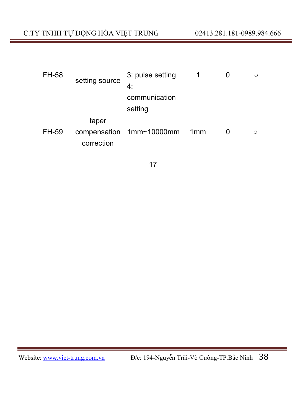| FH-58 | setting source | 3: pulse setting         |     | O |
|-------|----------------|--------------------------|-----|---|
|       |                | 4:                       |     |   |
|       |                | communication            |     |   |
|       |                | setting                  |     |   |
|       | taper          |                          |     |   |
| FH-59 |                | compensation 1mm~10000mm | 1mm | ∩ |
|       | correction     |                          |     |   |
|       |                |                          |     |   |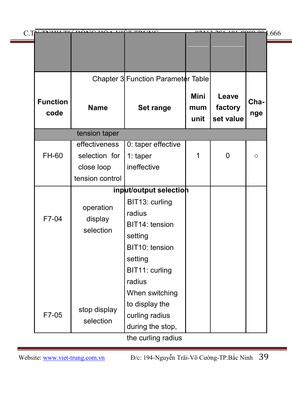| C. THE THILL TH' DÔMC HỘA VIỆT THING |                                                                                 |                                   | 0.2412, 201, 101, 0000, 001   |                                    |
|--------------------------------------|---------------------------------------------------------------------------------|-----------------------------------|-------------------------------|------------------------------------|
|                                      |                                                                                 |                                   |                               |                                    |
|                                      |                                                                                 |                                   |                               |                                    |
|                                      |                                                                                 |                                   |                               |                                    |
| <b>Name</b>                          | Set range                                                                       | <b>Mini</b><br>mum<br>unit        | Leave<br>factory<br>set value | Cha-<br>nge                        |
| tension taper                        |                                                                                 |                                   |                               |                                    |
|                                      |                                                                                 |                                   |                               |                                    |
| selection for                        | 1: taper                                                                        | 1                                 | $\mathbf{0}$                  | $\circ$                            |
| close loop                           |                                                                                 |                                   |                               |                                    |
| tension control                      |                                                                                 |                                   |                               |                                    |
|                                      |                                                                                 |                                   |                               |                                    |
|                                      | BIT13: curling                                                                  |                                   |                               |                                    |
|                                      | radius                                                                          |                                   |                               |                                    |
|                                      | BIT14: tension                                                                  |                                   |                               |                                    |
|                                      | setting                                                                         |                                   |                               |                                    |
|                                      | BIT10: tension                                                                  |                                   |                               |                                    |
|                                      | setting                                                                         |                                   |                               |                                    |
|                                      | BIT11: curling                                                                  |                                   |                               |                                    |
|                                      | radius                                                                          |                                   |                               |                                    |
|                                      | When switching                                                                  |                                   |                               |                                    |
|                                      | to display the                                                                  |                                   |                               |                                    |
|                                      | curling radius                                                                  |                                   |                               |                                    |
|                                      | during the stop,                                                                |                                   |                               |                                    |
|                                      | effectiveness<br>operation<br>display<br>selection<br>stop display<br>selection | 0: taper effective<br>ineffective | input/output selection        | Chapter 3 Function Parameter Table |

the curling radius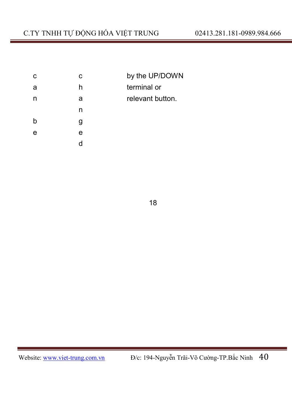| с | с | by the UP/DOWN   |
|---|---|------------------|
| a | h | terminal or      |
| n | a | relevant button. |
|   | n |                  |
| h | g |                  |
| е | е |                  |
|   |   |                  |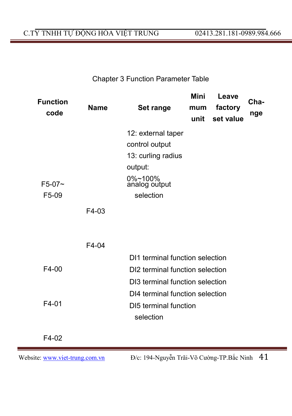# C.TY TNHH TỰ ĐỘNG HÓA VIỆT TRUNG 02413.281.181-0989.984.666

# Chapter 3 Function Parameter Table

| <b>Function</b><br>code | <b>Name</b> | Set range                       | Mini<br>mum<br>unit | Leave<br>factory<br>set value | Cha-<br>nge |
|-------------------------|-------------|---------------------------------|---------------------|-------------------------------|-------------|
|                         |             | 12: external taper              |                     |                               |             |
|                         |             | control output                  |                     |                               |             |
|                         |             | 13: curling radius              |                     |                               |             |
|                         |             | output:                         |                     |                               |             |
| $F5-07$ ~               |             | 0%~100%<br>analog output        |                     |                               |             |
| F5-09                   |             | selection                       |                     |                               |             |
|                         | F4-03       |                                 |                     |                               |             |
|                         |             |                                 |                     |                               |             |
|                         | F4-04       |                                 |                     |                               |             |
|                         |             | DI1 terminal function selection |                     |                               |             |
| F4-00                   |             | DI2 terminal function selection |                     |                               |             |
|                         |             | DI3 terminal function selection |                     |                               |             |
|                         |             | DI4 terminal function selection |                     |                               |             |
| $F4-01$                 |             | DI5 terminal function           |                     |                               |             |
|                         |             | selection                       |                     |                               |             |
| $F4-02$                 |             |                                 |                     |                               |             |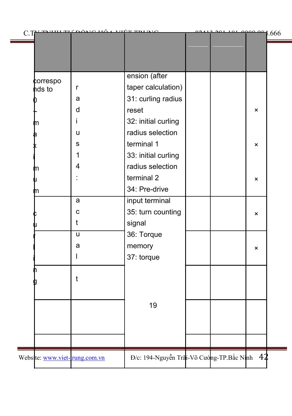| C.T.               |                               | <u>việc coin</u>                             |  | 101.0000001.666 |  |
|--------------------|-------------------------------|----------------------------------------------|--|-----------------|--|
|                    |                               |                                              |  |                 |  |
|                    |                               | ension (after                                |  |                 |  |
| ¢orrespo<br>hds to | r                             | taper calculation)                           |  |                 |  |
|                    | a                             | 31: curling radius                           |  |                 |  |
|                    | d                             | reset                                        |  | ×               |  |
|                    | Ť                             | 32: initial curling                          |  |                 |  |
|                    | u                             | radius selection                             |  |                 |  |
|                    | s                             | terminal 1                                   |  | $\pmb{\times}$  |  |
|                    | 1                             | 33: initial curling                          |  |                 |  |
| n                  | 4                             | radius selection                             |  |                 |  |
|                    |                               | terminal 2                                   |  | $\pmb{\times}$  |  |
| n                  |                               | 34: Pre-drive                                |  |                 |  |
|                    | a                             | input terminal                               |  |                 |  |
|                    | C                             | 35: turn counting                            |  | ×               |  |
|                    | t                             | signal                                       |  |                 |  |
|                    | u                             | 36: Torque                                   |  |                 |  |
|                    | a                             | memory                                       |  | $\pmb{\times}$  |  |
|                    | $\mathsf{l}$                  | 37: torque                                   |  |                 |  |
|                    |                               |                                              |  |                 |  |
|                    | t                             |                                              |  |                 |  |
|                    |                               |                                              |  |                 |  |
|                    |                               | 19                                           |  |                 |  |
|                    |                               |                                              |  |                 |  |
|                    |                               |                                              |  |                 |  |
|                    |                               |                                              |  |                 |  |
|                    |                               |                                              |  |                 |  |
|                    | Website: www.viet-rung.com.vn | Đ/c: 194-Nguyễn Trãi-Võ Cường-TP.Bắc Ninh 42 |  |                 |  |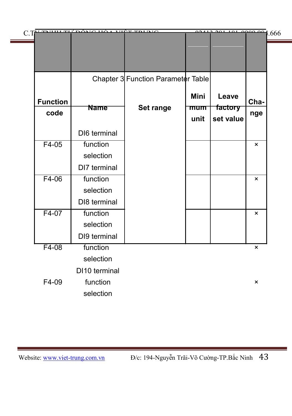|                 | C.TV TAHHI TH' DÔMC HỘA VIỆT TRI NIC |                                    |             | 0.412, 201, 101, 0000, 001, 666 |                           |
|-----------------|--------------------------------------|------------------------------------|-------------|---------------------------------|---------------------------|
|                 |                                      |                                    |             |                                 |                           |
|                 |                                      |                                    |             |                                 |                           |
|                 |                                      | Chapter 3 Function Parameter Table |             |                                 |                           |
| <b>Function</b> |                                      |                                    | <b>Mini</b> | Leave                           | Cha-                      |
| code            | <b>Name</b>                          | Set range                          | mum<br>unit | factory<br>set value            | nge                       |
|                 | DI6 terminal                         |                                    |             |                                 |                           |
| $F4-05$         | function                             |                                    |             |                                 | $\pmb{\times}$            |
|                 | selection                            |                                    |             |                                 |                           |
|                 | DI7 terminal                         |                                    |             |                                 |                           |
| $F4-06$         | function                             |                                    |             |                                 | $\boldsymbol{\mathsf{x}}$ |
|                 | selection                            |                                    |             |                                 |                           |
|                 | DI8 terminal                         |                                    |             |                                 |                           |
| F4-07           | function                             |                                    |             |                                 | ×                         |
|                 | selection                            |                                    |             |                                 |                           |
|                 | DI9 terminal                         |                                    |             |                                 |                           |
| $F4-08$         | function                             |                                    |             |                                 | $\pmb{\times}$            |
|                 | selection                            |                                    |             |                                 |                           |
|                 | DI10 terminal                        |                                    |             |                                 |                           |
| F4-09           | function                             |                                    |             |                                 | ×                         |
|                 | selection                            |                                    |             |                                 |                           |
|                 |                                      |                                    |             |                                 |                           |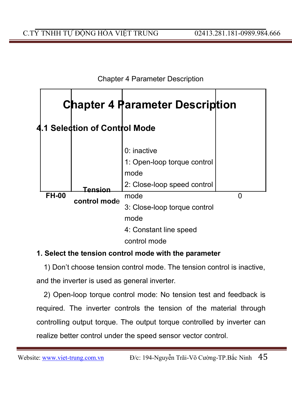

### **1. Select the tension control mode with the parameter**

1) Don't choose tension control mode. The tension control is inactive, and the inverter is used as general inverter.

2) Open-loop torque control mode: No tension test and feedback is required. The inverter controls the tension of the material through controlling output torque. The output torque controlled by inverter can realize better control under the speed sensor vector control.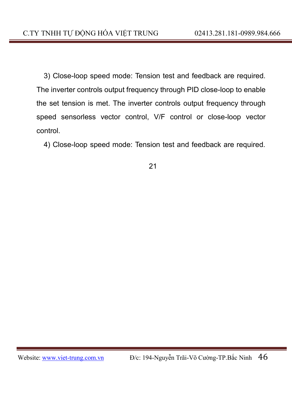3) Close-loop speed mode: Tension test and feedback are required. The inverter controls output frequency through PID close-loop to enable the set tension is met. The inverter controls output frequency through speed sensorless vector control, V/F control or close-loop vector control.

4) Close-loop speed mode: Tension test and feedback are required.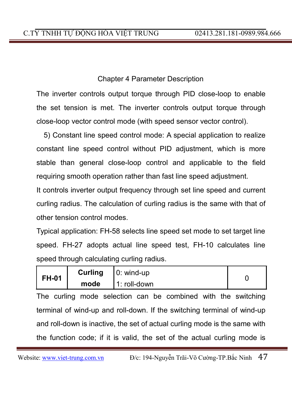The inverter controls output torque through PID close-loop to enable the set tension is met. The inverter controls output torque through close-loop vector control mode (with speed sensor vector control).

5) Constant line speed control mode: A special application to realize constant line speed control without PID adjustment, which is more stable than general close-loop control and applicable to the field requiring smooth operation rather than fast line speed adjustment.

It controls inverter output frequency through set line speed and current curling radius. The calculation of curling radius is the same with that of other tension control modes.

Typical application: FH-58 selects line speed set mode to set target line speed. FH-27 adopts actual line speed test, FH-10 calculates line speed through calculating curling radius.

| <b>FH-01</b> | Curling | $ 0:$ wind-up   |  |
|--------------|---------|-----------------|--|
|              | mode    | $11:$ roll-down |  |

The curling mode selection can be combined with the switching terminal of wind-up and roll-down. If the switching terminal of wind-up and roll-down is inactive, the set of actual curling mode is the same with the function code; if it is valid, the set of the actual curling mode is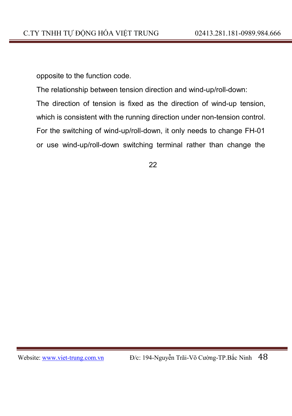opposite to the function code.

The relationship between tension direction and wind-up/roll-down:

The direction of tension is fixed as the direction of wind-up tension,

which is consistent with the running direction under non-tension control.

For the switching of wind-up/roll-down, it only needs to change FH-01

or use wind-up/roll-down switching terminal rather than change the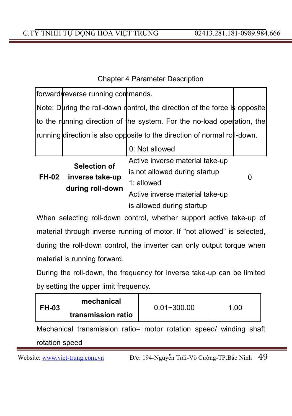|              | forward/reverse running commands.   |                                                                            |  |
|--------------|-------------------------------------|----------------------------------------------------------------------------|--|
|              |                                     | Note: During the roll-down dontrol, the direction of the force is opposite |  |
|              |                                     | to the running direction of the system. For the no-load operation, the     |  |
|              |                                     | running direction is also opposite to the direction of normal roll-down.   |  |
|              |                                     | 0: Not allowed                                                             |  |
|              | Selection of                        | Active inverse material take-up                                            |  |
|              |                                     | is not allowed during startup                                              |  |
| <b>FH-02</b> | inverse take-up<br>during roll-down | 1: allowed                                                                 |  |
|              |                                     | Active inverse material take-up                                            |  |
|              |                                     | is allowed during startup                                                  |  |

When selecting roll-down control, whether support active take-up of material through inverse running of motor. If "not allowed" is selected, during the roll-down control, the inverter can only output torque when material is running forward.

During the roll-down, the frequency for inverse take-up can be limited by setting the upper limit frequency.

| FH-03 | mechanical         | $0.01 - 300.00$ | 1.00 |
|-------|--------------------|-----------------|------|
|       | transmission ratio |                 |      |

Mechanical transmission ratio= motor rotation speed/ winding shaft rotation speed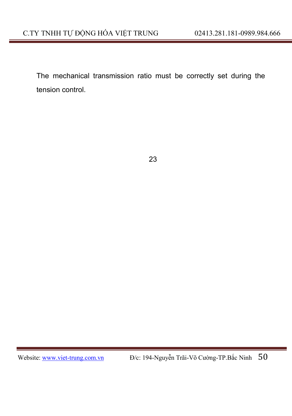The mechanical transmission ratio must be correctly set during the tension control.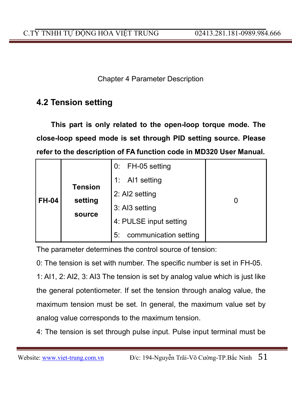# **4.2 Tension setting**

**This part is only related to the open-loop torque mode. The close-loop speed mode is set through PID setting source. Please refer to the description of FA function code in MD320 User Manual.**

|              |                | FH-05 setting<br>0:         |  |
|--------------|----------------|-----------------------------|--|
|              | <b>Tension</b> | AI1 setting<br>1:           |  |
| <b>FH-04</b> | setting        | 2: AI2 setting              |  |
|              |                | 3: AI3 setting              |  |
|              | source         | 4: PULSE input setting      |  |
|              |                | communication setting<br>5: |  |

The parameter determines the control source of tension:

0: The tension is set with number. The specific number is set in FH-05.

1: AI1, 2: AI2, 3: AI3 The tension is set by analog value which is just like the general potentiometer. If set the tension through analog value, the maximum tension must be set. In general, the maximum value set by analog value corresponds to the maximum tension.

4: The tension is set through pulse input. Pulse input terminal must be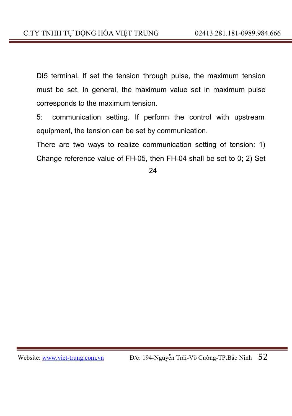DI5 terminal. If set the tension through pulse, the maximum tension must be set. In general, the maximum value set in maximum pulse corresponds to the maximum tension.

5: communication setting. If perform the control with upstream equipment, the tension can be set by communication.

There are two ways to realize communication setting of tension: 1) Change reference value of FH-05, then FH-04 shall be set to 0; 2) Set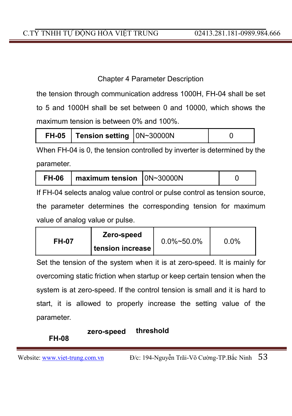the tension through communication address 1000H, FH-04 shall be set to 5 and 1000H shall be set between 0 and 10000, which shows the maximum tension is between 0% and 100%.

|  | FH-05   Tension setting   0N~30000N |  |  |
|--|-------------------------------------|--|--|
|--|-------------------------------------|--|--|

When FH-04 is 0, the tension controlled by inverter is determined by the parameter.

| $\vert$ maximum tension $\vert$ 0N~30000N<br><b>FH-06</b> |  |  |
|-----------------------------------------------------------|--|--|
|-----------------------------------------------------------|--|--|

If FH-04 selects analog value control or pulse control as tension source, the parameter determines the corresponding tension for maximum value of analog value or pulse.

| <b>FH-07</b> | Zero-speed<br>I tension increase I | $0.0\%$ ~50.0% | $0.0\%$ |
|--------------|------------------------------------|----------------|---------|
|              |                                    |                |         |

Set the tension of the system when it is at zero-speed. It is mainly for overcoming static friction when startup or keep certain tension when the system is at zero-speed. If the control tension is small and it is hard to start, it is allowed to properly increase the setting value of the parameter.

# **zero-speed threshold**

### **FH-08**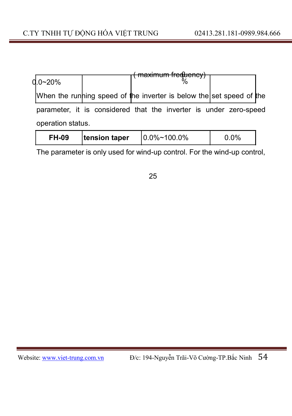|                                                                      |  |  | $m$ ovimum froquanov)        |  |  |  |
|----------------------------------------------------------------------|--|--|------------------------------|--|--|--|
| d.o~20%                                                              |  |  | па <del>хіпшн пефіснеу</del> |  |  |  |
| When the running speed of the inverter is below the set speed of the |  |  |                              |  |  |  |
| parameter, it is considered that the inverter is under zero-speed    |  |  |                              |  |  |  |
| operation status.                                                    |  |  |                              |  |  |  |

| <b>FH-09</b> | tension taper | $10.0\%$ ~100.0% | $0.0\%$ |
|--------------|---------------|------------------|---------|
|              |               |                  |         |

The parameter is only used for wind-up control. For the wind-up control,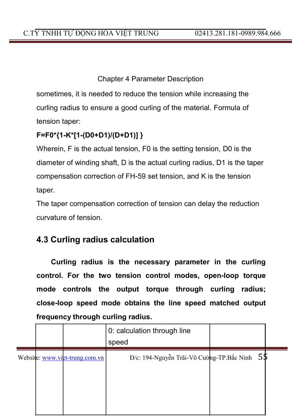sometimes, it is needed to reduce the tension while increasing the curling radius to ensure a good curling of the material. Formula of tension taper:

# **F=F0\*{1-K\*[1-(D0+D1)/(D+D1)] }**

Wherein, F is the actual tension, F0 is the setting tension, D0 is the diameter of winding shaft, D is the actual curling radius, D1 is the taper compensation correction of FH-59 set tension, and K is the tension taper.

The taper compensation correction of tension can delay the reduction curvature of tension.

# **4.3 Curling radius calculation**

**Curling radius is the necessary parameter in the curling control. For the two tension control modes, open-loop torque mode controls the output torque through curling radius; close-loop speed mode obtains the line speed matched output frequency through curling radius.**

|  |                                | 0: calculation through line<br>speed             |  |
|--|--------------------------------|--------------------------------------------------|--|
|  | Website: www.viet-trung.com.vn | $D/c$ : 194-Nguyễn Trãi-Võ Cường-TP.Bắc Ninh 5\$ |  |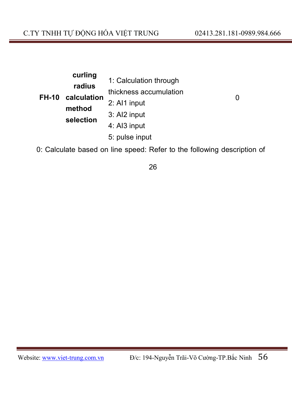|              | curling     |                        |   |
|--------------|-------------|------------------------|---|
|              | radius      | 1: Calculation through |   |
| <b>FH-10</b> | calculation | thickness accumulation | 0 |
|              | method      | 2: Al1 input           |   |
|              |             | 3: AI2 input           |   |
|              | selection   | 4: AI3 input           |   |
|              |             | 5: pulse input         |   |

0: Calculate based on line speed: Refer to the following description of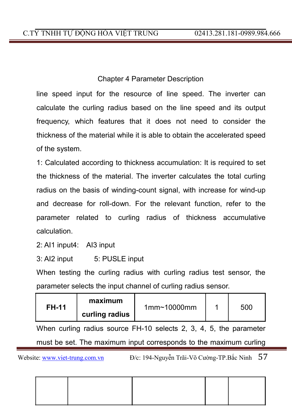line speed input for the resource of line speed. The inverter can calculate the curling radius based on the line speed and its output frequency, which features that it does not need to consider the thickness of the material while it is able to obtain the accelerated speed of the system.

1: Calculated according to thickness accumulation: It is required to set the thickness of the material. The inverter calculates the total curling radius on the basis of winding-count signal, with increase for wind-up and decrease for roll-down. For the relevant function, refer to the parameter related to curling radius of thickness accumulative calculation.

2: AI1 input4: AI3 input

3: AI2 input 5: PUSLE input

When testing the curling radius with curling radius test sensor, the parameter selects the input channel of curling radius sensor.

| maximum<br><b>FH-11</b><br>1mm <sub>10000mm</sub><br>curling radius |  | 500 |
|---------------------------------------------------------------------|--|-----|
|---------------------------------------------------------------------|--|-----|

When curling radius source FH-10 selects 2, 3, 4, 5, the parameter must be set. The maximum input corresponds to the maximum curling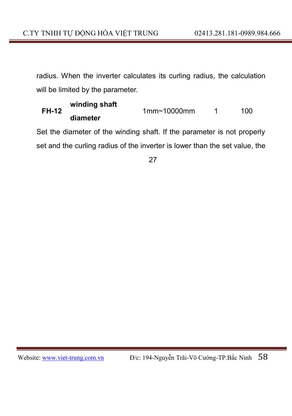radius. When the inverter calculates its curling radius, the calculation will be limited by the parameter.

#### **winding shaft FH-12 diameter** 1mm~10000mm 1 100

Set the diameter of the winding shaft. If the parameter is not properly set and the curling radius of the inverter is lower than the set value, the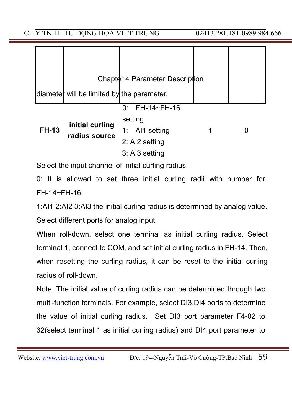C.TY TNHH TƯ ĐỘNG HÓA VIỆT TRUNG 02413.281.181-0989.984.666

|              |                                            | Chapter 4 Parameter Description |  |
|--------------|--------------------------------------------|---------------------------------|--|
|              | diameter will be limited by the parameter. |                                 |  |
|              |                                            | $0:$ FH-14~FH-16                |  |
|              |                                            | setting                         |  |
| <b>FH-13</b> | initial curling<br>radius source           | 1: Al1 setting                  |  |
|              |                                            | 2: AI2 setting                  |  |
|              |                                            | 3: AI3 setting                  |  |

Select the input channel of initial curling radius.

0: It is allowed to set three initial curling radii with number for FH-14~FH-16.

1:AI1 2:AI2 3:AI3 the initial curling radius is determined by analog value. Select different ports for analog input.

When roll-down, select one terminal as initial curling radius. Select terminal 1, connect to COM, and set initial curling radius in FH-14. Then, when resetting the curling radius, it can be reset to the initial curling radius of roll-down.

Note: The initial value of curling radius can be determined through two multi-function terminals. For example, select DI3,DI4 ports to determine the value of initial curling radius. Set DI3 port parameter F4-02 to 32(select terminal 1 as initial curling radius) and DI4 port parameter to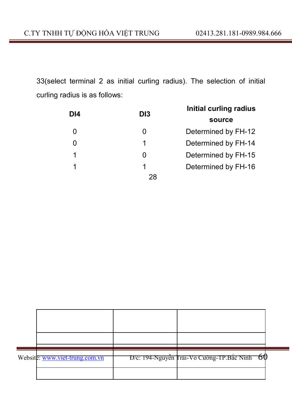33(select terminal 2 as initial curling radius). The selection of initial curling radius is as follows:

| DI <sub>4</sub> | DI <sub>3</sub> | Initial curling radius |
|-----------------|-----------------|------------------------|
|                 |                 | source                 |
|                 |                 | Determined by FH-12    |
|                 | 1               | Determined by FH-14    |
|                 |                 | Determined by FH-15    |
|                 |                 | Determined by FH-16    |
|                 | 28              |                        |

| Website: www.viet-trung.com.vn | D/c: 194-Nguyễn Trãi-Võ Cường-TP.Bắc Ninh 60 |  |
|--------------------------------|----------------------------------------------|--|
|                                |                                              |  |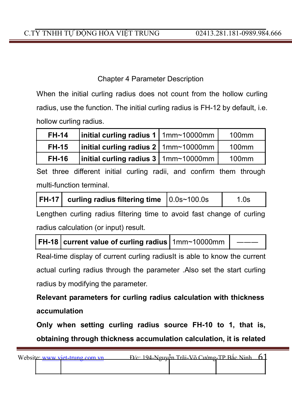When the initial curling radius does not count from the hollow curling radius, use the function. The initial curling radius is FH-12 by default, i.e. hollow curling radius.

| <b>FH-14</b> | $\left $ initial curling radius 1   1mm~10000mm | 100 <sub>mm</sub> |
|--------------|-------------------------------------------------|-------------------|
| <b>FH-15</b> | $\left $ initial curling radius 2   1mm~10000mm | $100$ mm          |
| <b>FH-16</b> | initial curling radius 3   1mm~10000mm          | $100$ mm          |

Set three different initial curling radii, and confirm them through multi-function terminal.

| $ FH-17 $ curling radius filtering time $ 0.0$ s~100.0s | 1.0s |
|---------------------------------------------------------|------|
|                                                         |      |

Lengthen curling radius filtering time to avoid fast change of curling radius calculation (or input) result.

|  | FH-18 current value of curling radius   1mm~10000mm |  |  |
|--|-----------------------------------------------------|--|--|
|--|-----------------------------------------------------|--|--|

Real-time display of current curling radiusIt is able to know the current actual curling radius through the parameter .Also set the start curling radius by modifying the parameter.

**Relevant parameters for curling radius calculation with thickness accumulation**

**Only when setting curling radius source FH-10 to 1, that is, obtaining through thickness accumulation calculation, it is related**

| Website: www.viet-trung.com.vn | $P/c$ : 194-Nouvễn Trãi-Võ Cường-TP Bắc Ninh 61 |  |
|--------------------------------|-------------------------------------------------|--|
|                                |                                                 |  |
|                                |                                                 |  |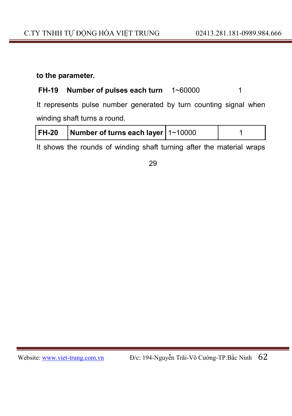### **to the parameter.**

# **FH-19 Number of pulses each turn** 1~60000 1

It represents pulse number generated by turn counting signal when winding shaft turns a round.

| FH-20 | Number of turns each layer $ 1 - 10000 $ |  |
|-------|------------------------------------------|--|
|       |                                          |  |

It shows the rounds of winding shaft turning after the material wraps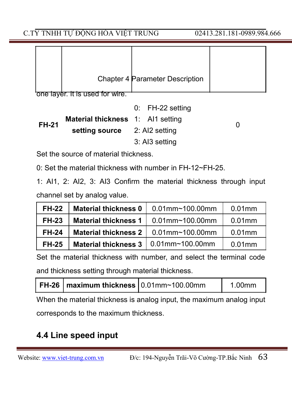|  | Chapter 4 Parameter Description |  |
|--|---------------------------------|--|

one layer. It is used for wire.

|              |                                          | $0:$ FH-22 setting |   |
|--------------|------------------------------------------|--------------------|---|
| <b>FH-21</b> | <b>Material thickness</b> 1: Al1 setting |                    | 0 |
|              | <b>setting source</b> 2: Al2 setting     |                    |   |
|              |                                          | 3: AI3 setting     |   |

Set the source of material thickness.

0: Set the material thickness with number in FH-12~FH-25.

1: AI1, 2: AI2, 3: AI3 Confirm the material thickness through input channel set by analog value.

| <b>FH-22</b> | <b>Material thickness 0</b> | $0.01$ mm~100.00mm | $0.01$ mm |
|--------------|-----------------------------|--------------------|-----------|
| <b>FH-23</b> | <b>Material thickness 1</b> | $0.01$ mm~100.00mm | $0.01$ mm |
| <b>FH-24</b> | <b>Material thickness 2</b> | $0.01$ mm~100.00mm | $0.01$ mm |
| <b>FH-25</b> | <b>Material thickness 3</b> | $0.01$ mm~100.00mm | $0.01$ mm |

Set the material thickness with number, and select the terminal code and thickness setting through material thickness.

|--|

When the material thickness is analog input, the maximum analog input corresponds to the maximum thickness.

# **4.4 Line speed input**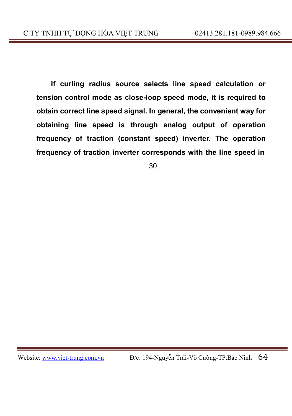**If curling radius source selects line speed calculation or tension control mode as close-loop speed mode, it is required to obtain correct line speed signal. In general, the convenient way for obtaining line speed is through analog output of operation frequency of traction (constant speed) inverter. The operation frequency of traction inverter corresponds with the line speed in**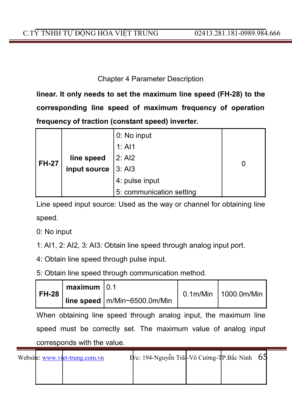**linear. It only needs to set the maximum line speed (FH-28) to the corresponding line speed of maximum frequency of operation frequency of traction (constant speed) inverter.**

|         |              | 0: No input              |  |
|---------|--------------|--------------------------|--|
|         |              | 1: A11                   |  |
| l FH-27 | line speed   | 2: AI2                   |  |
|         | input source | 3: A13                   |  |
|         |              | 4: pulse input           |  |
|         |              | 5: communication setting |  |

Line speed input source: Used as the way or channel for obtaining line speed.

0: No input

1: AI1, 2: AI2, 3: AI3: Obtain line speed through analog input port.

4: Obtain line speed through pulse input.

5: Obtain line speed through communication method.

| FH-28 l | $maximum$ 0.1 |                                  | 0.1m/Min   1000.0m/Min |
|---------|---------------|----------------------------------|------------------------|
|         |               | I line speed   m/Min~6500.0m/Min |                        |

When obtaining line speed through analog input, the maximum line speed must be correctly set. The maximum value of analog input corresponds with the value.

|  | Website: www.viet-trung.com.vn | $E/c$ : 194-Nguyễn Trãi-Võ Cường-TP. Bắc Ninh 65 |  |  |
|--|--------------------------------|--------------------------------------------------|--|--|
|  |                                |                                                  |  |  |
|  |                                |                                                  |  |  |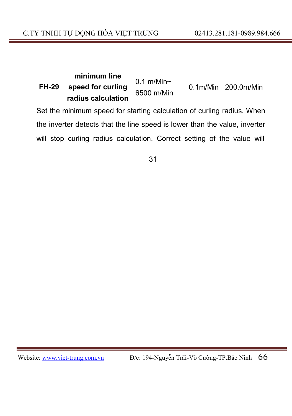#### **minimum line FH-29 speed for curling radius calculation** 0.1 m/Min~ 6500 m/Min 0.1m/Min 200.0m/Min

Set the minimum speed for starting calculation of curling radius. When the inverter detects that the line speed is lower than the value, inverter will stop curling radius calculation. Correct setting of the value will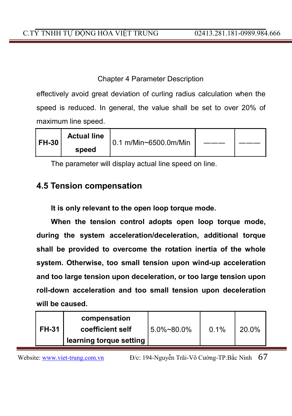effectively avoid great deviation of curling radius calculation when the speed is reduced. In general, the value shall be set to over 20% of maximum line speed.

| FH-30 | <b>Actual line</b> | 0.1 m/Min~6500.0m/Min |  |
|-------|--------------------|-----------------------|--|
|       | speed              |                       |  |

The parameter will display actual line speed on line.

# **4.5 Tension compensation**

**It is only relevant to the open loop torque mode.**

**When the tension control adopts open loop torque mode, during the system acceleration/deceleration, additional torque shall be provided to overcome the rotation inertia of the whole system. Otherwise, too small tension upon wind-up acceleration and too large tension upon deceleration, or too large tension upon roll-down acceleration and too small tension upon deceleration will be caused.**

|              | compensation            |             |      |       |
|--------------|-------------------------|-------------|------|-------|
| <b>FH-31</b> | coefficient self        | 15.0%~80.0% | 0.1% | 20.0% |
|              | learning torque setting |             |      |       |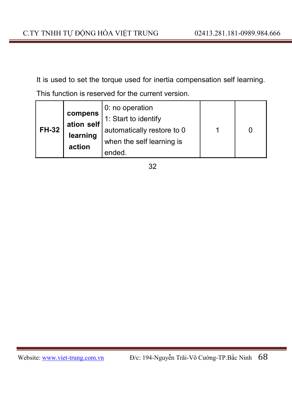It is used to set the torque used for inertia compensation self learning. This function is reserved for the current version.

| <b>FH-32</b> | compens<br>ation self<br>learning | 0: no operation<br>1: Start to identify<br>automatically restore to 0<br>when the self learning is |  |
|--------------|-----------------------------------|----------------------------------------------------------------------------------------------------|--|
|              | action                            | ended.                                                                                             |  |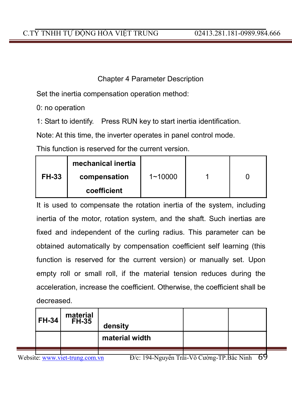Set the inertia compensation operation method:

0: no operation

1: Start to identify. Press RUN key to start inertia identification.

Note: At this time, the inverter operates in panel control mode.

This function is reserved for the current version.

|              | mechanical inertia |             |  |
|--------------|--------------------|-------------|--|
| <b>FH-33</b> | compensation       | $1 - 10000$ |  |
|              | coefficient        |             |  |

It is used to compensate the rotation inertia of the system, including inertia of the motor, rotation system, and the shaft. Such inertias are fixed and independent of the curling radius. This parameter can be obtained automatically by compensation coefficient self learning (this function is reserved for the current version) or manually set. Upon empty roll or small roll, if the material tension reduces during the acceleration, increase the coefficient. Otherwise, the coefficient shall be decreased.

|           | <b>FH-34</b> | material<br>FH-35 | density              |                             |                                |  |
|-----------|--------------|-------------------|----------------------|-----------------------------|--------------------------------|--|
|           |              |                   | material width       |                             |                                |  |
|           |              |                   |                      |                             |                                |  |
|           |              |                   |                      |                             |                                |  |
| <b>TT</b> |              | . .               | 1013<br>$\mathbf{r}$ | $T \times T \times T$<br>mn | $\mathbf{v}$<br>$\sim$ $\cdot$ |  |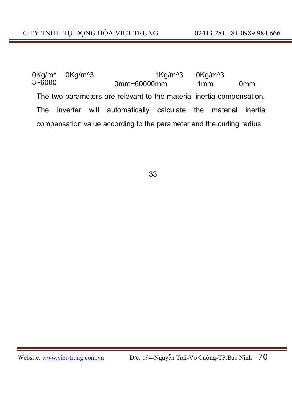0Kg/m^ 3~6000 0Kg/m<sup>^</sup>3 1Kg/m<sup>^3</sup> 0Kg/m<sup>^3</sup> 0mm~60000mm 1mm 0mm The two parameters are relevant to the material inertia compensation. The inverter will automatically calculate the material inertia compensation value according to the parameter and the curling radius.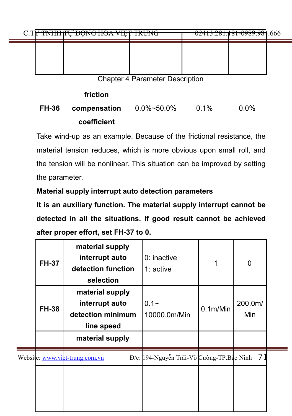| C.T <del>Y TNHH JU DÔNG HÓA VIỆT TRUNG</del><br><del>02413.281.181-0989.984</del> .666  |  |
|-----------------------------------------------------------------------------------------|--|
|                                                                                         |  |
|                                                                                         |  |
| $\mathbf{O}$ be a set of $\mathbf{D}$ be a set of $\mathbf{D}$ be a set of $\mathbf{D}$ |  |

# **friction**

#### **FH-36 compensation coefficient** 0.0%~50.0% 0.1% 0.0%

Take wind-up as an example. Because of the frictional resistance, the material tension reduces, which is more obvious upon small roll, and the tension will be nonlinear. This situation can be improved by setting the parameter.

## **Material supply interrupt auto detection parameters**

**It is an auxiliary function. The material supply interrupt cannot be detected in all the situations. If good result cannot be achieved after proper effort, set FH-37 to 0.**

| <b>FH-37</b> | material supply<br>interrupt auto<br>detection function<br>selection                    | $0:$ inactive<br>$1:$ active              | 1                     | 0              |  |
|--------------|-----------------------------------------------------------------------------------------|-------------------------------------------|-----------------------|----------------|--|
| <b>FH-38</b> | material supply<br>interrupt auto<br>detection minimum<br>line speed<br>material supply | $0.1 -$<br>10000.0m/Min                   | 0.1 <sub>m</sub> /Min | 200.0m/<br>Min |  |
|              |                                                                                         |                                           |                       |                |  |
|              | Website: www.viet-trung.com.vn                                                          | Đ/c: 194-Nguyễn Trãi-Võ Cường-TP.Bắc Ninh |                       | 71             |  |
|              |                                                                                         |                                           |                       |                |  |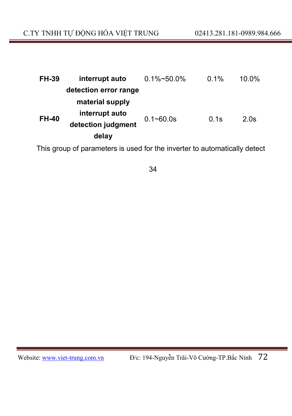| FH-39        | interrupt auto        | $0.1\%$ ~50.0% | 0.1% | 10.0% |
|--------------|-----------------------|----------------|------|-------|
|              | detection error range |                |      |       |
|              | material supply       |                |      |       |
| <b>FH-40</b> | interrupt auto        | $0.1 - 60.0s$  | 0.1s | 2.0s  |
|              | detection judgment    |                |      |       |
|              | delay                 |                |      |       |

This group of parameters is used for the inverter to automatically detect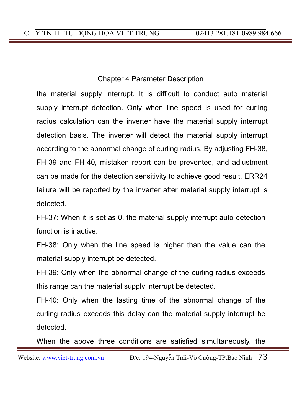the material supply interrupt. It is difficult to conduct auto material supply interrupt detection. Only when line speed is used for curling radius calculation can the inverter have the material supply interrupt detection basis. The inverter will detect the material supply interrupt according to the abnormal change of curling radius. By adjusting FH-38, FH-39 and FH-40, mistaken report can be prevented, and adjustment can be made for the detection sensitivity to achieve good result. ERR24 failure will be reported by the inverter after material supply interrupt is detected.

FH-37: When it is set as 0, the material supply interrupt auto detection function is inactive.

FH-38: Only when the line speed is higher than the value can the material supply interrupt be detected.

FH-39: Only when the abnormal change of the curling radius exceeds this range can the material supply interrupt be detected.

FH-40: Only when the lasting time of the abnormal change of the curling radius exceeds this delay can the material supply interrupt be detected.

When the above three conditions are satisfied simultaneously, the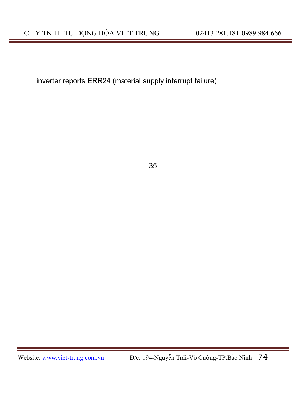inverter reports ERR24 (material supply interrupt failure)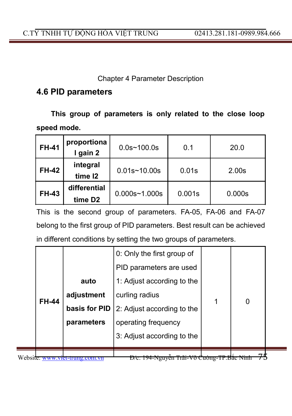### **4.6 PID parameters**

**This group of parameters is only related to the close loop speed mode.**

| <b>FH-41</b> | proportiona<br>I gain 2             | $0.0s$ ~100.0s    | 0.1    | 20.0              |
|--------------|-------------------------------------|-------------------|--------|-------------------|
| <b>FH-42</b> | integral<br>time 12                 | $0.01s - 10.00s$  | 0.01s  | 2.00 <sub>s</sub> |
| <b>FH-43</b> | differential<br>time D <sub>2</sub> | $0.000s - 1.000s$ | 0.001s | 0.000s            |

This is the second group of parameters. FA-05, FA-06 and FA-07 belong to the first group of PID parameters. Best result can be achieved in different conditions by setting the two groups of parameters.

|          |              | auto<br>adjustment          | 0: Only the first group of<br>PID parameters are used<br>1: Adjust according to the<br>curling radius |   |  |
|----------|--------------|-----------------------------|-------------------------------------------------------------------------------------------------------|---|--|
|          | <b>FH-44</b> | basis for PID<br>parameters | 2: Adjust according to the<br>operating frequency                                                     | 0 |  |
|          |              |                             | 3: Adjust according to the                                                                            |   |  |
| Website. |              |                             | 194-inguyen Trai-Vo                                                                                   |   |  |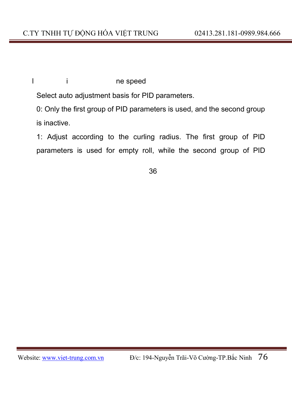### l i ne speed

Select auto adjustment basis for PID parameters.

0: Only the first group of PID parameters is used, and the second group is inactive.

1: Adjust according to the curling radius. The first group of PID parameters is used for empty roll, while the second group of PID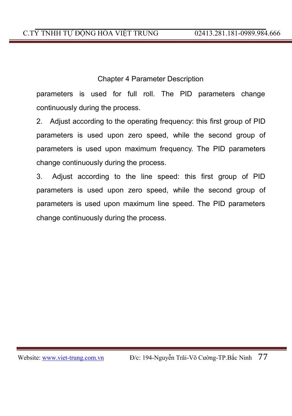parameters is used for full roll. The PID parameters change continuously during the process.

2. Adjust according to the operating frequency: this first group of PID parameters is used upon zero speed, while the second group of parameters is used upon maximum frequency. The PID parameters change continuously during the process.

3. Adjust according to the line speed: this first group of PID parameters is used upon zero speed, while the second group of parameters is used upon maximum line speed. The PID parameters change continuously during the process.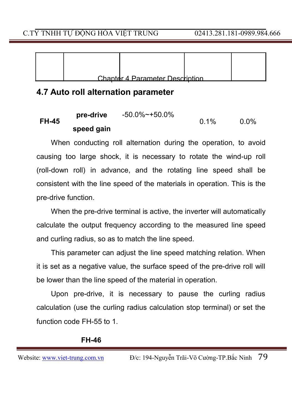|  | Chanter 4 Parameter Description |  |
|--|---------------------------------|--|

### **4.7 Auto roll alternation parameter**

| <b>FH-45</b> | pre-drive  | $-50.0\%$ $-+50.0\%$ | $0.1\%$ | 0.0% |
|--------------|------------|----------------------|---------|------|
|              | speed gain |                      |         |      |

When conducting roll alternation during the operation, to avoid causing too large shock, it is necessary to rotate the wind-up roll (roll-down roll) in advance, and the rotating line speed shall be consistent with the line speed of the materials in operation. This is the pre-drive function.

When the pre-drive terminal is active, the inverter will automatically calculate the output frequency according to the measured line speed and curling radius, so as to match the line speed.

This parameter can adjust the line speed matching relation. When it is set as a negative value, the surface speed of the pre-drive roll will be lower than the line speed of the material in operation.

Upon pre-drive, it is necessary to pause the curling radius calculation (use the curling radius calculation stop terminal) or set the function code FH-55 to 1.

#### **FH-46**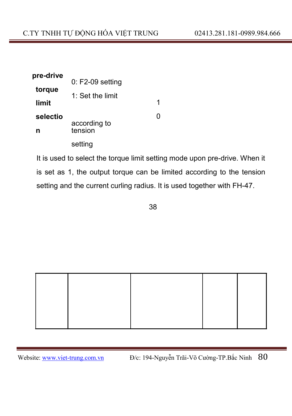| pre-drive |                         |   |
|-----------|-------------------------|---|
| torque    | $0: F2-09$ setting      |   |
|           | 1: Set the limit        |   |
| limit     |                         | 1 |
| selectio  |                         | O |
| n         | according to<br>tension |   |
|           | setting                 |   |

It is used to select the torque limit setting mode upon pre-drive. When it is set as 1, the output torque can be limited according to the tension setting and the current curling radius. It is used together with FH-47.

38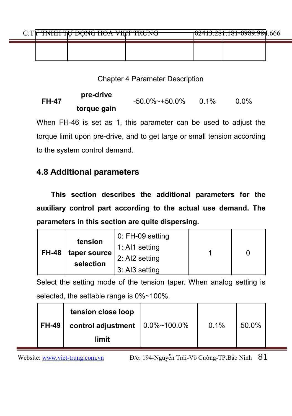|  | <u>A TWAITHERLI DÂNA HÁ LUITE THINIA</u><br><u>NHH IN DUNU HUA VIII I IKUNU</u> |  | <del>102413.281.181-0989.984</del> .666 |  |
|--|---------------------------------------------------------------------------------|--|-----------------------------------------|--|
|  |                                                                                 |  |                                         |  |

## **FH-47 pre-drive torque gain** -50.0%~+50.0% 0.1% 0.0%

When FH-46 is set as 1, this parameter can be used to adjust the torque limit upon pre-drive, and to get large or small tension according to the system control demand.

### **4.8 Additional parameters**

**This section describes the additional parameters for the auxiliary control part according to the actual use demand. The parameters in this section are quite dispersing.**

|              | tension                     | 0: FH-09 setting |  |
|--------------|-----------------------------|------------------|--|
| <b>FH-48</b> |                             | 1: AI1 setting   |  |
|              | taper source  <br>selection | 2: AI2 setting   |  |
|              |                             | 3: AI3 setting   |  |

Select the setting mode of the tension taper. When analog setting is selected, the settable range is 0%~100%.

|              | tension close loop                       |      |       |  |
|--------------|------------------------------------------|------|-------|--|
| <b>FH-49</b> | control adjustment $ 0.0\% \sim 100.0\%$ | 0.1% | 50.0% |  |
|              | limit                                    |      |       |  |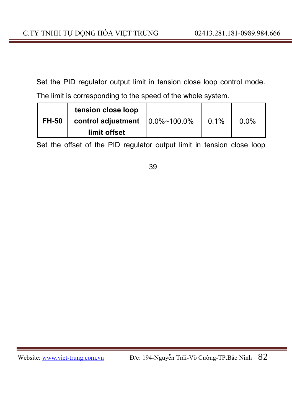Set the PID regulator output limit in tension close loop control mode. The limit is corresponding to the speed of the whole system.

|              | tension close loop                       |         |         |
|--------------|------------------------------------------|---------|---------|
| <b>FH-50</b> | control adjustment $ 0.0\% \sim 100.0\%$ | $0.1\%$ | $0.0\%$ |
|              | limit offset                             |         |         |

Set the offset of the PID regulator output limit in tension close loop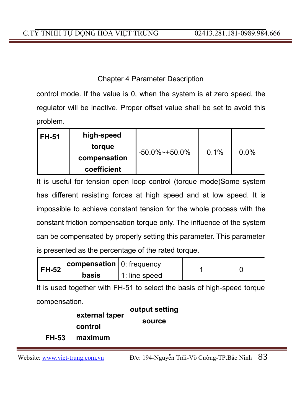control mode. If the value is 0, when the system is at zero speed, the regulator will be inactive. Proper offset value shall be set to avoid this problem.

| <b>FH-51</b> | high-speed   |                      |      |         |
|--------------|--------------|----------------------|------|---------|
|              | torque       | $-50.0\%$ $-+50.0\%$ | 0.1% | $0.0\%$ |
|              | compensation |                      |      |         |
|              | coefficient  |                      |      |         |

It is useful for tension open loop control (torque mode)Some system has different resisting forces at high speed and at low speed. It is impossible to achieve constant tension for the whole process with the constant friction compensation torque only. The influence of the system can be compensated by properly setting this parameter. This parameter is presented as the percentage of the rated torque.

| <b>FH-52</b> | $\epsilon$ compensation $\epsilon$ o: frequency |               |  |
|--------------|-------------------------------------------------|---------------|--|
|              | basis                                           | 1: line speed |  |

It is used together with FH-51 to select the basis of high-speed torque compensation.

|              | external taper | output setting |
|--------------|----------------|----------------|
|              | control        | source         |
| <b>FH-53</b> | maximum        |                |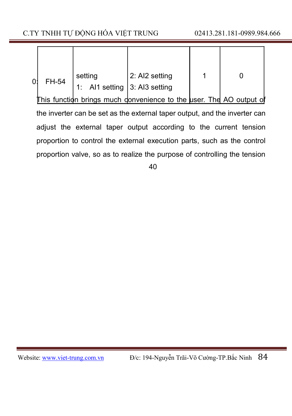| n۰ | FH-54 | setting<br>1: Al1 setting   3: Al3 setting | 2: AI2 setting |  |
|----|-------|--------------------------------------------|----------------|--|

This function brings much donvenience to the user. The AO output of the inverter can be set as the external taper output, and the inverter can adjust the external taper output according to the current tension proportion to control the external execution parts, such as the control proportion valve, so as to realize the purpose of controlling the tension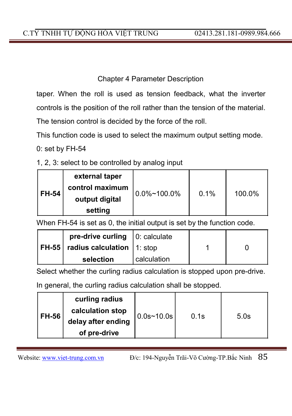taper. When the roll is used as tension feedback, what the inverter controls is the position of the roll rather than the tension of the material.

The tension control is decided by the force of the roll.

This function code is used to select the maximum output setting mode.

0: set by FH-54

1, 2, 3: select to be controlled by analog input

|              | external taper<br>control maximum |                  |      |        |
|--------------|-----------------------------------|------------------|------|--------|
| <b>FH-54</b> | output digital<br>setting         | $10.0\%$ ~100.0% | 0.1% | 100.0% |

When FH-54 is set as 0, the initial output is set by the function code.

| pre-drive curling $\vert 0$ : calculate   |               |  |
|-------------------------------------------|---------------|--|
| $ FH-55 $ radius calculation $ 1 $ : stop |               |  |
| selection                                 | I calculation |  |

Select whether the curling radius calculation is stopped upon pre-drive.

In general, the curling radius calculation shall be stopped.

| <b>FH-56</b> | curling radius<br>calculation stop<br>delay after ending<br>of pre-drive | $ 0.0$ s~10.0s $ $ | 0.1s | 5.0s |
|--------------|--------------------------------------------------------------------------|--------------------|------|------|
|              |                                                                          |                    |      |      |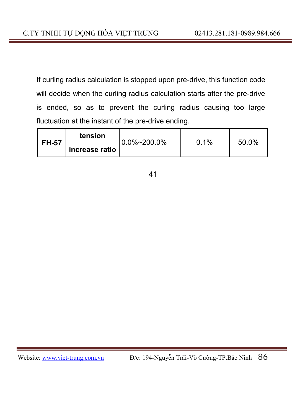If curling radius calculation is stopped upon pre-drive, this function code will decide when the curling radius calculation starts after the pre-drive is ended, so as to prevent the curling radius causing too large fluctuation at the instant of the pre-drive ending.

| <b>FH-57</b> | tension          | $0.0\%$ ~200.0% | $0.1\%$ | 50.0% |
|--------------|------------------|-----------------|---------|-------|
|              | ` increase ratio |                 |         |       |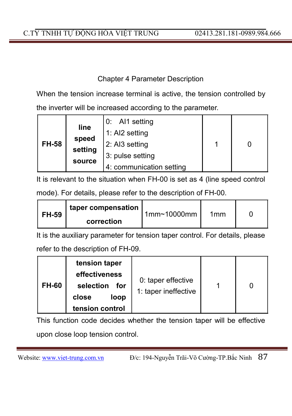When the tension increase terminal is active, the tension controlled by the inverter will be increased according to the parameter.

| <b>FH-58</b> | line<br>speed<br>setting | $0:$ Al1 setting<br>1: AI2 setting<br>2: AI3 setting<br>3: pulse setting |  |
|--------------|--------------------------|--------------------------------------------------------------------------|--|
|              | source                   | 4: communication setting                                                 |  |

It is relevant to the situation when FH-00 is set as 4 (line speed control mode). For details, please refer to the description of FH-00.

| FH-59 | taper compensation | 1mm <sub>10000mm</sub> | 1mm |  |
|-------|--------------------|------------------------|-----|--|
|       | correction         |                        |     |  |

It is the auxiliary parameter for tension taper control. For details, please refer to the description of FH-09.

| <b>FH-60</b> | tension taper<br>effectiveness<br>selection<br>for<br>close<br>loop<br>tension control | 0: taper effective<br>1: taper ineffective |  |  |
|--------------|----------------------------------------------------------------------------------------|--------------------------------------------|--|--|
|--------------|----------------------------------------------------------------------------------------|--------------------------------------------|--|--|

This function code decides whether the tension taper will be effective upon close loop tension control.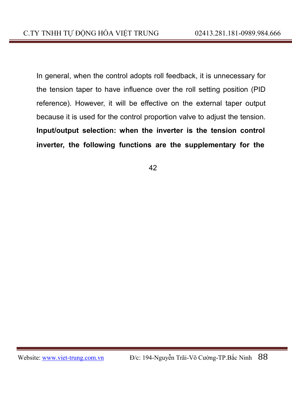In general, when the control adopts roll feedback, it is unnecessary for the tension taper to have influence over the roll setting position (PID reference). However, it will be effective on the external taper output because it is used for the control proportion valve to adjust the tension. **Input/output selection: when the inverter is the tension control inverter, the following functions are the supplementary for the**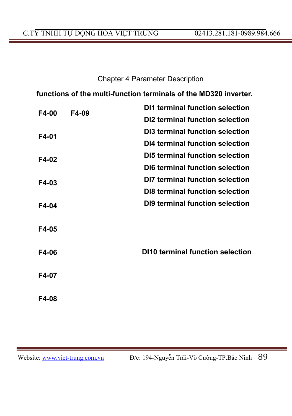### C.TY TNHH TỰ ĐỘNG HÓA VIỆT TRUNG 02413.281.181-0989.984.666

### Chapter 4 Parameter Description

**functions of the multi-function terminals of the MD320 inverter.**

| F4-00 | F4-09 | DI1 terminal function selection  |
|-------|-------|----------------------------------|
|       |       | DI2 terminal function selection  |
| F4-01 |       | DI3 terminal function selection  |
|       |       | DI4 terminal function selection  |
| F4-02 |       | DI5 terminal function selection  |
|       |       | DI6 terminal function selection  |
| F4-03 |       | DI7 terminal function selection  |
|       |       | DI8 terminal function selection  |
| F4-04 |       | DI9 terminal function selection  |
| F4-05 |       |                                  |
| F4-06 |       | DI10 terminal function selection |
| F4-07 |       |                                  |
| F4-08 |       |                                  |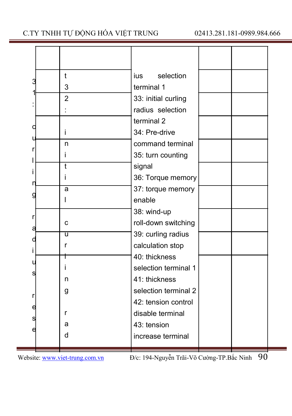### C.TY TNHH TỰ ĐỘNG HÓA VIỆT TRUNG 02413.281.181-0989.984.666

| 3 | t              | selection<br>ius.    |  |
|---|----------------|----------------------|--|
|   | 3              | terminal 1           |  |
|   | $\overline{2}$ | 33: initial curling  |  |
|   |                | radius selection     |  |
|   |                | terminal 2           |  |
|   | i              | 34: Pre-drive        |  |
|   | n              | command terminal     |  |
|   | i              | 35: turn counting    |  |
|   | $\overline{t}$ | signal               |  |
|   | Î              | 36: Torque memory    |  |
|   | a              | 37: torque memory    |  |
| c |                | enable               |  |
| r |                | 38: wind-up          |  |
| a | C              | roll-down switching  |  |
| C | ū              | 39: curling radius   |  |
|   | r              | calculation stop     |  |
|   |                | 40: thickness        |  |
|   | Ť              | selection terminal 1 |  |
| s | n              | 41: thickness        |  |
|   | g              | selection terminal 2 |  |
| r |                | 42: tension control  |  |
| e | r              | disable terminal     |  |
| s | a              | 43: tension          |  |
|   | d              | increase terminal    |  |
|   |                |                      |  |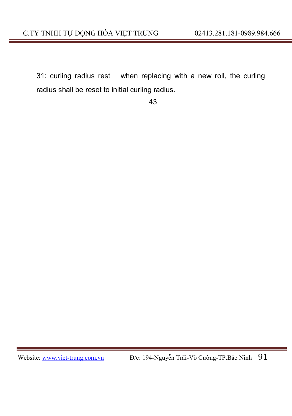31: curling radius rest when replacing with a new roll, the curling radius shall be reset to initial curling radius.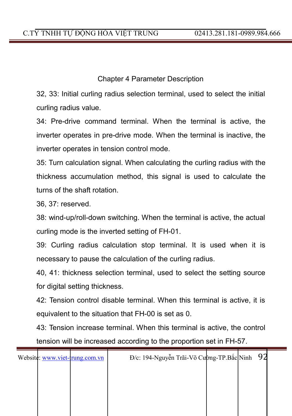32, 33: Initial curling radius selection terminal, used to select the initial curling radius value.

34: Pre-drive command terminal. When the terminal is active, the inverter operates in pre-drive mode. When the terminal is inactive, the inverter operates in tension control mode.

35: Turn calculation signal. When calculating the curling radius with the thickness accumulation method, this signal is used to calculate the turns of the shaft rotation.

36, 37: reserved.

38: wind-up/roll-down switching. When the terminal is active, the actual curling mode is the inverted setting of FH-01.

39: Curling radius calculation stop terminal. It is used when it is necessary to pause the calculation of the curling radius.

40, 41: thickness selection terminal, used to select the setting source for digital setting thickness.

42: Tension control disable terminal. When this terminal is active, it is equivalent to the situation that FH-00 is set as 0.

43: Tension increase terminal. When this terminal is active, the control tension will be increased according to the proportion set in FH-57.

| Website: www.viet-trung.com.vn | Đ/c: 194-Nguyễn Trãi-Võ Cupng-TP.Bắc Ninh 92 |  |  |
|--------------------------------|----------------------------------------------|--|--|
|                                |                                              |  |  |
|                                |                                              |  |  |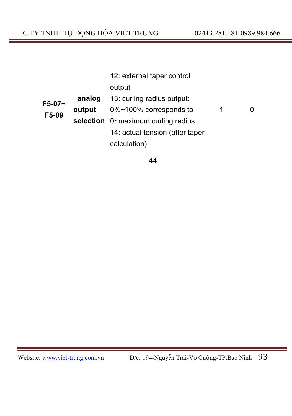|        | 12: external taper control |                                    |   |  |  |
|--------|----------------------------|------------------------------------|---|--|--|
|        |                            | output                             |   |  |  |
| F5-07~ | analog                     | 13: curling radius output:         |   |  |  |
| F5-09  | output                     | 0%~100% corresponds to             | 1 |  |  |
|        |                            | selection 0~maximum curling radius |   |  |  |
|        |                            | 14: actual tension (after taper    |   |  |  |
|        |                            | calculation)                       |   |  |  |
|        |                            |                                    |   |  |  |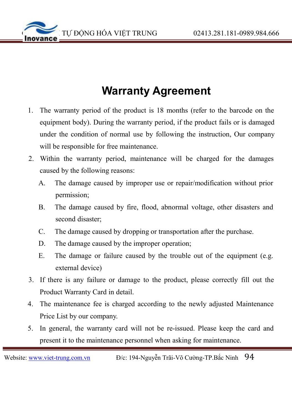

# **Warranty Agreement**

- 1. The warranty period of the product is 18 months (refer to the barcode on the equipment body). During the warranty period, if the product fails or is damaged under the condition of normal use by following the instruction, Our company will be responsible for free maintenance.
- 2. Within the warranty period, maintenance will be charged for the damages caused by the following reasons:
	- A. The damage caused by improper use or repair/modification without prior permission;
	- B. The damage caused by fire, flood, abnormal voltage, other disasters and second disaster;
	- C. The damage caused by dropping or transportation after the purchase.
	- D. The damage caused by the improper operation;
	- E. The damage or failure caused by the trouble out of the equipment (e.g. external device)
- 3. If there is any failure or damage to the product, please correctly fill out the Product Warranty Card in detail.
- 4. The maintenance fee is charged according to the newly adjusted Maintenance Price List by our company.
- 5. In general, the warranty card will not be re-issued. Please keep the card and present it to the maintenance personnel when asking for maintenance.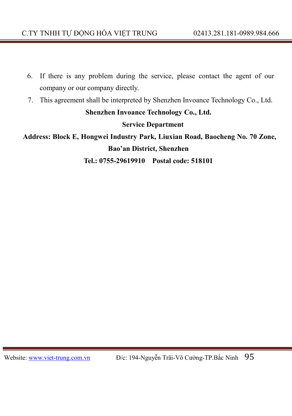- 6. If there is any problem during the service, please contact the agent of our company or our company directly.
- 7. This agreement shall be interpreted by Shenzhen Invoance Technology Co., Ltd.

**Shenzhen Invoance Technology Co., Ltd.**

**Service Department**

**Address: Block E, Hongwei Industry Park, Liuxian Road, Baocheng No. 70 Zone, Bao'an District, Shenzhen**

**Tel.: 0755-29619910 Postal code: 518101**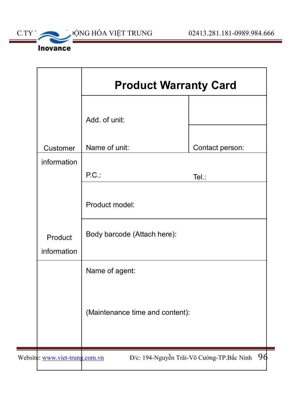

| <b>Product Warranty Card</b>    |                 |  |
|---------------------------------|-----------------|--|
| Add. of unit:                   |                 |  |
| Name of unit:                   | Contact person: |  |
| P.C.                            | Tel.:           |  |
| Product model:                  |                 |  |
| Body barcode (Attach here):     |                 |  |
| Name of agent:                  |                 |  |
| (Maintenance time and content): |                 |  |
|                                 |                 |  |